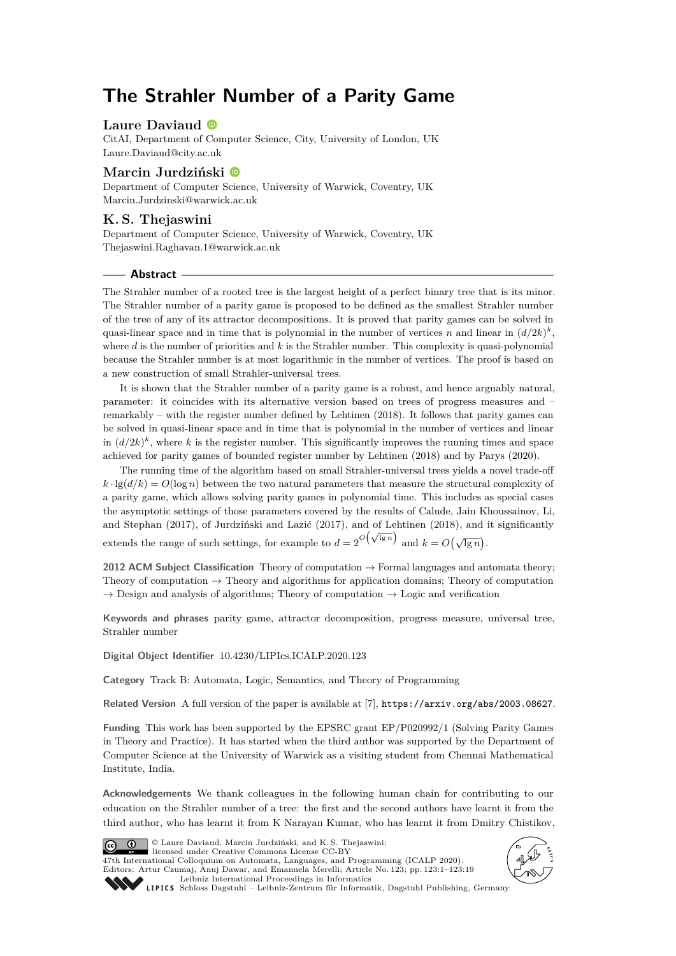# **The Strahler Number of a Parity Game**

## **Laure Daviaud**

CitAI, Department of Computer Science, City, University of London, UK [Laure.Daviaud@city.ac.uk](mailto:Laure.Daviaud@city.ac.uk)

## **Marcin Jurdziński**

Department of Computer Science, University of Warwick, Coventry, UK [Marcin.Jurdzinski@warwick.ac.uk](mailto:Marcin.Jurdzinski@warwick.ac.uk)

## **K. S. Thejaswini**

Department of Computer Science, University of Warwick, Coventry, UK [Thejaswini.Raghavan.1@warwick.ac.uk](mailto:Thejaswini.Raghavan.1@warwick.ac.uk)

#### **Abstract**

The Strahler number of a rooted tree is the largest height of a perfect binary tree that is its minor. The Strahler number of a parity game is proposed to be defined as the smallest Strahler number of the tree of any of its attractor decompositions. It is proved that parity games can be solved in quasi-linear space and in time that is polynomial in the number of vertices *n* and linear in  $(d/2k)^k$ , where *d* is the number of priorities and *k* is the Strahler number. This complexity is quasi-polynomial because the Strahler number is at most logarithmic in the number of vertices. The proof is based on a new construction of small Strahler-universal trees.

It is shown that the Strahler number of a parity game is a robust, and hence arguably natural, parameter: it coincides with its alternative version based on trees of progress measures and – remarkably – with the register number defined by Lehtinen (2018). It follows that parity games can be solved in quasi-linear space and in time that is polynomial in the number of vertices and linear in  $(d/2k)^k$ , where *k* is the register number. This significantly improves the running times and space achieved for parity games of bounded register number by Lehtinen (2018) and by Parys (2020).

The running time of the algorithm based on small Strahler-universal trees yields a novel trade-off  $k \cdot \lg(d/k) = O(\log n)$  between the two natural parameters that measure the structural complexity of a parity game, which allows solving parity games in polynomial time. This includes as special cases the asymptotic settings of those parameters covered by the results of Calude, Jain Khoussainov, Li, and Stephan (2017), of Jurdziński and Lazić (2017), and of Lehtinen (2018), and it significantly extends the range of such settings, for example to  $d = 2^{O(\sqrt{\lg n})}$  and  $k = O(\sqrt{\lg n})$ .

**2012 ACM Subject Classification** Theory of computation → Formal languages and automata theory; Theory of computation  $\rightarrow$  Theory and algorithms for application domains; Theory of computation  $\rightarrow$  Design and analysis of algorithms; Theory of computation  $\rightarrow$  Logic and verification

**Keywords and phrases** parity game, attractor decomposition, progress measure, universal tree, Strahler number

**Digital Object Identifier** [10.4230/LIPIcs.ICALP.2020.123](https://doi.org/10.4230/LIPIcs.ICALP.2020.123)

**Category** Track B: Automata, Logic, Semantics, and Theory of Programming

**Related Version** A full version of the paper is available at [\[7\]](#page-16-0), <https://arxiv.org/abs/2003.08627>.

**Funding** This work has been supported by the EPSRC grant EP/P020992/1 (Solving Parity Games in Theory and Practice). It has started when the third author was supported by the Department of Computer Science at the University of Warwick as a visiting student from Chennai Mathematical Institute, India.

**Acknowledgements** We thank colleagues in the following human chain for contributing to our education on the Strahler number of a tree: the first and the second authors have learnt it from the third author, who has learnt it from K Narayan Kumar, who has learnt it from Dmitry Chistikov,



© Laure Daviaud, Marcin Jurdziński, and K. S. Thejaswini; licensed under Creative Commons License CC-BY

47th International Colloquium on Automata, Languages, and Programming (ICALP 2020). Editors: Artur Czumaj, Anuj Dawar, and Emanuela Merelli; Article No. 123; pp. 123:1–123[:19](#page-18-0) [Leibniz International Proceedings in Informatics](https://www.dagstuhl.de/lipics/)



[Schloss Dagstuhl – Leibniz-Zentrum für Informatik, Dagstuhl Publishing, Germany](https://www.dagstuhl.de)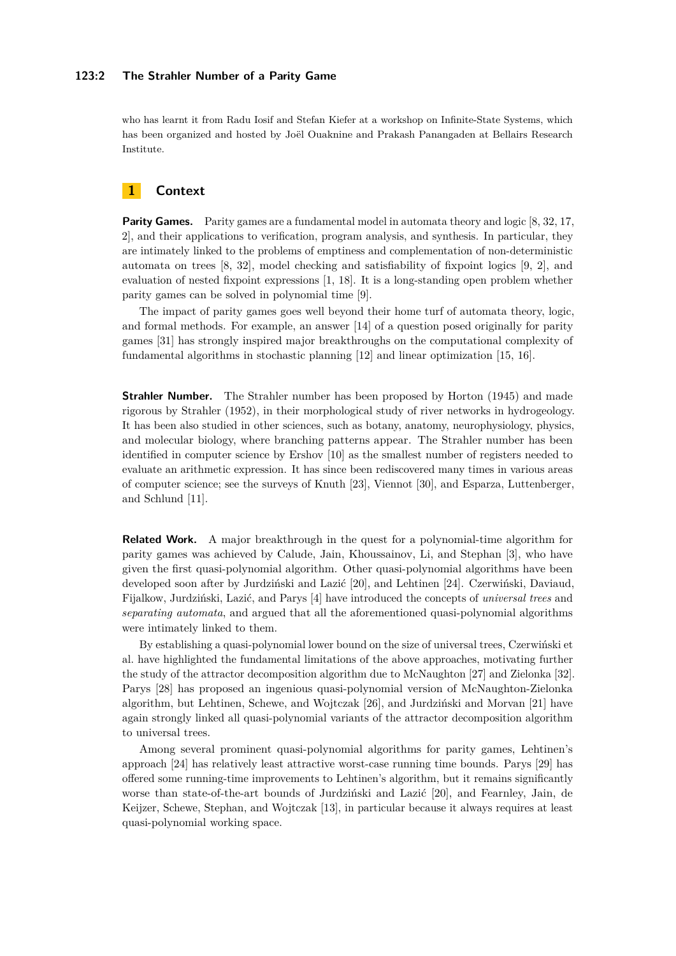#### **123:2 The Strahler Number of a Parity Game**

who has learnt it from Radu Iosif and Stefan Kiefer at a workshop on Infinite-State Systems, which has been organized and hosted by Joël Ouaknine and Prakash Panangaden at Bellairs Research Institute.

# **1 Context**

**Parity Games.** Parity games are a fundamental model in automata theory and logic [\[8,](#page-17-0) [32,](#page-18-1) [17,](#page-17-1) [2\]](#page-16-1), and their applications to verification, program analysis, and synthesis. In particular, they are intimately linked to the problems of emptiness and complementation of non-deterministic automata on trees [\[8,](#page-17-0) [32\]](#page-18-1), model checking and satisfiability of fixpoint logics [\[9,](#page-17-2) [2\]](#page-16-1), and evaluation of nested fixpoint expressions [\[1,](#page-16-2) [18\]](#page-17-3). It is a long-standing open problem whether parity games can be solved in polynomial time [\[9\]](#page-17-2).

The impact of parity games goes well beyond their home turf of automata theory, logic, and formal methods. For example, an answer [\[14\]](#page-17-4) of a question posed originally for parity games [\[31\]](#page-18-2) has strongly inspired major breakthroughs on the computational complexity of fundamental algorithms in stochastic planning [\[12\]](#page-17-5) and linear optimization [\[15,](#page-17-6) [16\]](#page-17-7).

**Strahler Number.** The Strahler number has been proposed by Horton (1945) and made rigorous by Strahler (1952), in their morphological study of river networks in hydrogeology. It has been also studied in other sciences, such as botany, anatomy, neurophysiology, physics, and molecular biology, where branching patterns appear. The Strahler number has been identified in computer science by Ershov [\[10\]](#page-17-8) as the smallest number of registers needed to evaluate an arithmetic expression. It has since been rediscovered many times in various areas of computer science; see the surveys of Knuth [\[23\]](#page-17-9), Viennot [\[30\]](#page-18-3), and Esparza, Luttenberger, and Schlund [\[11\]](#page-17-10).

**Related Work.** A major breakthrough in the quest for a polynomial-time algorithm for parity games was achieved by Calude, Jain, Khoussainov, Li, and Stephan [\[3\]](#page-16-3), who have given the first quasi-polynomial algorithm. Other quasi-polynomial algorithms have been developed soon after by Jurdziński and Lazić [\[20\]](#page-17-11), and Lehtinen [\[24\]](#page-17-12). Czerwiński, Daviaud, Fijalkow, Jurdziński, Lazić, and Parys [\[4\]](#page-16-4) have introduced the concepts of *universal trees* and *separating automata*, and argued that all the aforementioned quasi-polynomial algorithms were intimately linked to them.

By establishing a quasi-polynomial lower bound on the size of universal trees, Czerwiński et al. have highlighted the fundamental limitations of the above approaches, motivating further the study of the attractor decomposition algorithm due to McNaughton [\[27\]](#page-17-13) and Zielonka [\[32\]](#page-18-1). Parys [\[28\]](#page-17-14) has proposed an ingenious quasi-polynomial version of McNaughton-Zielonka algorithm, but Lehtinen, Schewe, and Wojtczak [\[26\]](#page-17-15), and Jurdziński and Morvan [\[21\]](#page-17-16) have again strongly linked all quasi-polynomial variants of the attractor decomposition algorithm to universal trees.

Among several prominent quasi-polynomial algorithms for parity games, Lehtinen's approach [\[24\]](#page-17-12) has relatively least attractive worst-case running time bounds. Parys [\[29\]](#page-17-17) has offered some running-time improvements to Lehtinen's algorithm, but it remains significantly worse than state-of-the-art bounds of Jurdziński and Lazić [\[20\]](#page-17-11), and Fearnley, Jain, de Keijzer, Schewe, Stephan, and Wojtczak [\[13\]](#page-17-18), in particular because it always requires at least quasi-polynomial working space.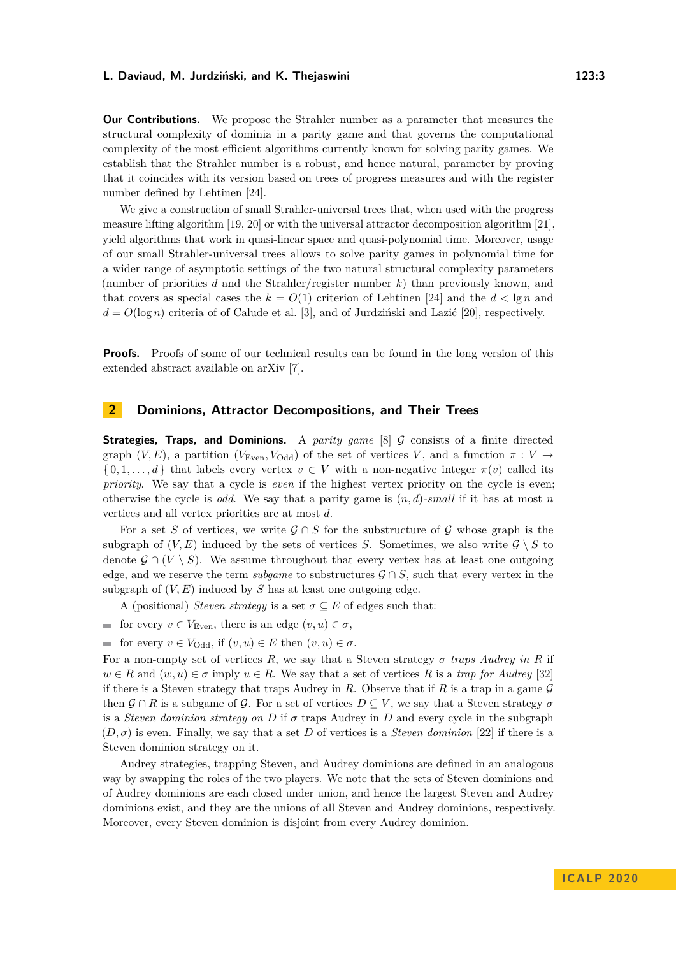**Our Contributions.** We propose the Strahler number as a parameter that measures the structural complexity of dominia in a parity game and that governs the computational complexity of the most efficient algorithms currently known for solving parity games. We establish that the Strahler number is a robust, and hence natural, parameter by proving that it coincides with its version based on trees of progress measures and with the register number defined by Lehtinen [\[24\]](#page-17-12).

We give a construction of small Strahler-universal trees that, when used with the progress measure lifting algorithm [\[19,](#page-17-19) [20\]](#page-17-11) or with the universal attractor decomposition algorithm [\[21\]](#page-17-16), yield algorithms that work in quasi-linear space and quasi-polynomial time. Moreover, usage of our small Strahler-universal trees allows to solve parity games in polynomial time for a wider range of asymptotic settings of the two natural structural complexity parameters (number of priorities *d* and the Strahler/register number *k*) than previously known, and that covers as special cases the  $k = O(1)$  criterion of Lehtinen [\[24\]](#page-17-12) and the  $d < \lg n$  and  $d = O(\log n)$  criteria of of Calude et al. [\[3\]](#page-16-3), and of Jurdziński and Lazić [\[20\]](#page-17-11), respectively.

**Proofs.** Proofs of some of our technical results can be found in the long version of this extended abstract available on arXiv [\[7\]](#page-16-0).

# <span id="page-2-0"></span>**2 Dominions, Attractor Decompositions, and Their Trees**

**Strategies, Traps, and Dominions.** A *parity game* [\[8\]](#page-17-0) G consists of a finite directed graph  $(V, E)$ , a partition  $(V_{Even}, V_{Odd})$  of the set of vertices *V*, and a function  $\pi : V \rightarrow$  $\{0, 1, \ldots, d\}$  that labels every vertex  $v \in V$  with a non-negative integer  $\pi(v)$  called its *priority*. We say that a cycle is *even* if the highest vertex priority on the cycle is even; otherwise the cycle is *odd*. We say that a parity game is (*n, d*)*-small* if it has at most *n* vertices and all vertex priorities are at most *d*.

For a set *S* of vertices, we write  $\mathcal{G} \cap S$  for the substructure of  $\mathcal{G}$  whose graph is the subgraph of  $(V, E)$  induced by the sets of vertices *S*. Sometimes, we also write  $\mathcal{G} \setminus S$  to denote  $\mathcal{G} \cap (V \setminus S)$ . We assume throughout that every vertex has at least one outgoing edge, and we reserve the term *subgame* to substructures  $\mathcal{G} \cap S$ , such that every vertex in the subgraph of  $(V, E)$  induced by  $S$  has at least one outgoing edge.

A (positional) *Steven strategy* is a set  $\sigma \subseteq E$  of edges such that:

- for every  $v \in V_{\text{Even}}$ , there is an edge  $(v, u) \in \sigma$ ,
- for every  $v \in V_{\text{Odd}}$ , if  $(v, u) \in E$  then  $(v, u) \in \sigma$ .

For a non-empty set of vertices  $R$ , we say that a Steven strategy  $\sigma$  *traps Audrey in*  $R$  if  $w \in R$  and  $(w, u) \in \sigma$  imply  $u \in R$ . We say that a set of vertices R is a *trap for Audrey* [\[32\]](#page-18-1) if there is a Steven strategy that traps Audrey in *R*. Observe that if *R* is a trap in a game  $\mathcal{G}$ then  $\mathcal{G} \cap R$  is a subgame of  $\mathcal{G}$ . For a set of vertices  $D \subseteq V$ , we say that a Steven strategy  $\sigma$ is a *Steven dominion strategy on*  $D$  if  $\sigma$  traps Audrey in  $D$  and every cycle in the subgraph  $(D, \sigma)$  is even. Finally, we say that a set D of vertices is a *Steven dominion* [\[22\]](#page-17-20) if there is a Steven dominion strategy on it.

Audrey strategies, trapping Steven, and Audrey dominions are defined in an analogous way by swapping the roles of the two players. We note that the sets of Steven dominions and of Audrey dominions are each closed under union, and hence the largest Steven and Audrey dominions exist, and they are the unions of all Steven and Audrey dominions, respectively. Moreover, every Steven dominion is disjoint from every Audrey dominion.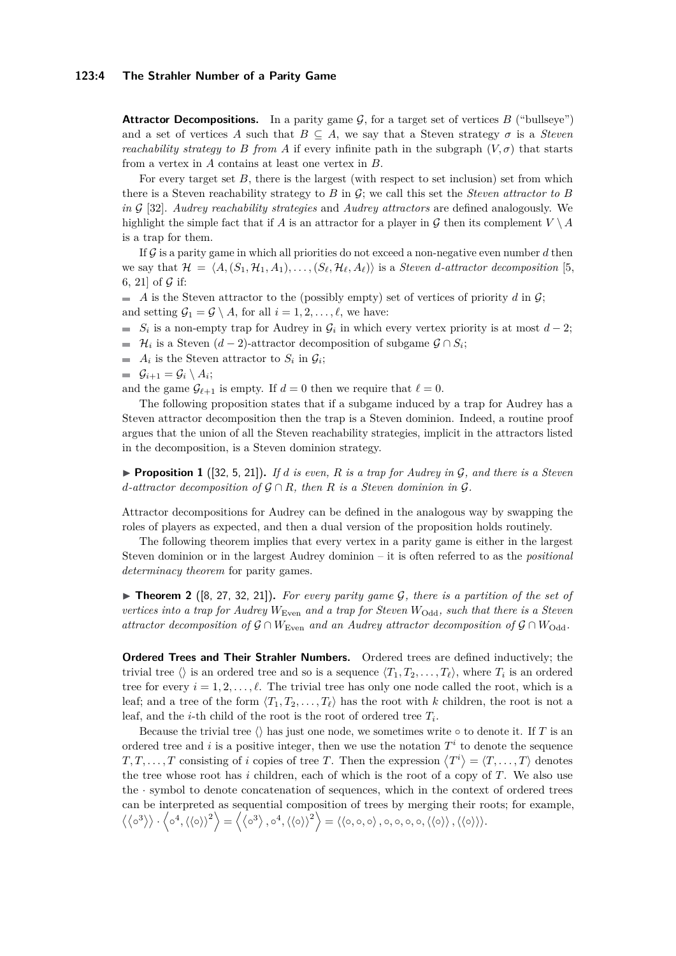#### **123:4 The Strahler Number of a Parity Game**

**Attractor Decompositions.** In a parity game  $\mathcal{G}$ , for a target set of vertices  $B$  ("bullseye") and a set of vertices *A* such that  $B \subseteq A$ , we say that a Steven strategy  $\sigma$  is a *Steven reachability strategy to B from A* if every infinite path in the subgraph  $(V, \sigma)$  that starts from a vertex in *A* contains at least one vertex in *B*.

For every target set  $B$ , there is the largest (with respect to set inclusion) set from which there is a Steven reachability strategy to  $B$  in  $\mathcal{G}$ ; we call this set the *Steven attractor to*  $B$ *in* G [\[32\]](#page-18-1). *Audrey reachability strategies* and *Audrey attractors* are defined analogously. We highlight the simple fact that if *A* is an attractor for a player in G then its complement  $V \setminus A$ is a trap for them.

If  $\mathcal G$  is a parity game in which all priorities do not exceed a non-negative even number  $d$  then we say that  $\mathcal{H} = \langle A, (S_1, \mathcal{H}_1, A_1), \dots, (S_\ell, \mathcal{H}_\ell, A_\ell) \rangle$  is a *Steven d-attractor decomposition* [\[5,](#page-16-5) [6,](#page-16-6) [21\]](#page-17-16) of  $\mathcal G$  if:

 $\blacksquare$  *A* is the Steven attractor to the (possibly empty) set of vertices of priority *d* in G; and setting  $\mathcal{G}_1 = \mathcal{G} \setminus A$ , for all  $i = 1, 2, \ldots, \ell$ , we have:

 $S_i$  is a non-empty trap for Audrey in  $\mathcal{G}_i$  in which every vertex priority is at most  $d-2$ ;

- $\mathcal{H}_i$  is a Steven  $(d-2)$ -attractor decomposition of subgame  $\mathcal{G} \cap S_i$ ;
- $A_i$  is the Steven attractor to  $S_i$  in  $\mathcal{G}_i$ ;
- $\mathcal{G}_{i+1} = \mathcal{G}_i \setminus A_i;$

and the game  $\mathcal{G}_{\ell+1}$  is empty. If  $d = 0$  then we require that  $\ell = 0$ .

The following proposition states that if a subgame induced by a trap for Audrey has a Steven attractor decomposition then the trap is a Steven dominion. Indeed, a routine proof argues that the union of all the Steven reachability strategies, implicit in the attractors listed in the decomposition, is a Steven dominion strategy.

**Proposition 1** ([\[32,](#page-18-1) [5,](#page-16-5) [21\]](#page-17-16)). If *d* is even, *R* is a trap for Audrey in  $\mathcal{G}$ , and there is a Steven *d*-attractor decomposition of  $G \cap R$ *, then R is a Steven dominion in*  $G$ *.* 

Attractor decompositions for Audrey can be defined in the analogous way by swapping the roles of players as expected, and then a dual version of the proposition holds routinely.

The following theorem implies that every vertex in a parity game is either in the largest Steven dominion or in the largest Audrey dominion – it is often referred to as the *positional determinacy theorem* for parity games.

<span id="page-3-0"></span> $\triangleright$  **Theorem 2** ([\[8,](#page-17-0) [27,](#page-17-13) [32,](#page-18-1) [21\]](#page-17-16)). For every parity game G, there is a partition of the set of *vertices into a trap for Audrey*  $W_{\text{Even}}$  *and a trap for Steven*  $W_{\text{Odd}}$ *, such that there is a Steven attractor decomposition of*  $\mathcal{G} \cap W_{\text{Even}}$  *and an Audrey attractor decomposition of*  $\mathcal{G} \cap W_{\text{Odd}}$ *.* 

**Ordered Trees and Their Strahler Numbers.** Ordered trees are defined inductively; the trivial tree  $\langle \rangle$  is an ordered tree and so is a sequence  $\langle T_1, T_2, \ldots, T_\ell \rangle$ , where  $T_i$  is an ordered tree for every  $i = 1, 2, \ldots, \ell$ . The trivial tree has only one node called the root, which is a leaf; and a tree of the form  $\langle T_1, T_2, \ldots, T_\ell \rangle$  has the root with *k* children, the root is not a leaf, and the *i*-th child of the root is the root of ordered tree  $T_i$ .

Because the trivial tree  $\langle \rangle$  has just one node, we sometimes write  $\circ$  to denote it. If *T* is an ordered tree and *i* is a positive integer, then we use the notation  $T<sup>i</sup>$  to denote the sequence  $T, T, \ldots, T$  consisting of *i* copies of tree *T*. Then the expression  $\langle T^i \rangle = \langle T, \ldots, T \rangle$  denotes the tree whose root has *i* children, each of which is the root of a copy of *T*. We also use the · symbol to denote concatenation of sequences, which in the context of ordered trees can be interpreted as sequential composition of trees by merging their roots; for example,  $\langle \langle \circ^3 \rangle \rangle \cdot \langle \circ^4, \langle \langle \circ \rangle \rangle^2 \rangle = \langle \langle \circ^3 \rangle, \circ^4, \langle \langle \circ \rangle \rangle^2 \rangle = \langle \langle \circ, \circ, \circ \rangle, \circ, \circ, \circ, \langle \langle \circ \rangle \rangle, \langle \langle \circ \rangle \rangle \rangle.$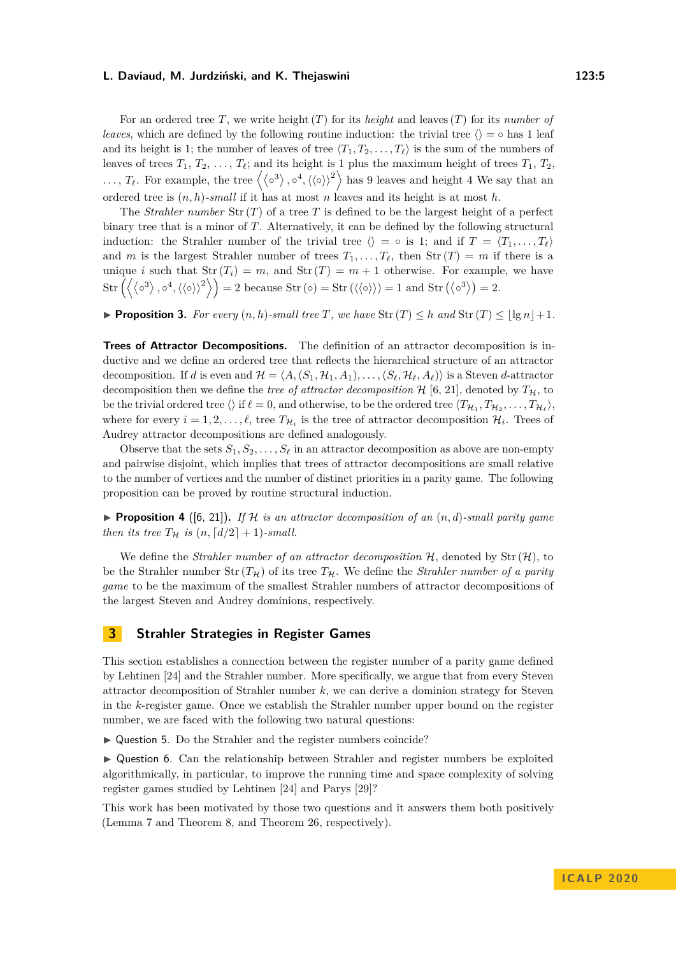For an ordered tree *T*, we write height (*T*) for its *height* and leaves (*T*) for its *number of leaves*, which are defined by the following routine induction: the trivial tree  $\langle \rangle = \circ$  has 1 leaf and its height is 1; the number of leaves of tree  $\langle T_1, T_2, \ldots, T_\ell \rangle$  is the sum of the numbers of leaves of trees  $T_1, T_2, \ldots, T_\ell$ ; and its height is 1 plus the maximum height of trees  $T_1, T_2$ ,  $\ldots, T_{\ell}$ . For example, the tree  $\langle {\langle \circ^3 \rangle}, \circ^4, {\langle \langle \circ \rangle \rangle}^2 \rangle$  has 9 leaves and height 4 We say that an ordered tree is (*n, h*)*-small* if it has at most *n* leaves and its height is at most *h*.

The *Strahler number*  $\text{Str}(T)$  of a tree T is defined to be the largest height of a perfect binary tree that is a minor of *T*. Alternatively, it can be defined by the following structural induction: the Strahler number of the trivial tree  $\langle \rangle = \circ$  is 1; and if  $T = \langle T_1, \ldots, T_\ell \rangle$ and *m* is the largest Strahler number of trees  $T_1, \ldots, T_\ell$ , then Str  $(T) = m$  if there is a unique *i* such that  $\text{Str}(T_i) = m$ , and  $\text{Str}(T) = m + 1$  otherwise. For example, we have  $\text{Str}\left(\langle \langle \circ^3 \rangle, \circ^4, \langle \langle \circ \rangle \rangle^2 \rangle \right) = 2 \text{ because } \text{Str}(\langle \circ \rangle) = \text{Str}(\langle \langle \circ \rangle \rangle) = 1 \text{ and } \text{Str}(\langle \circ^3 \rangle) = 2.$ 

<span id="page-4-2"></span>**Proposition 3.** For every  $(n, h)$ -small tree T, we have  $\text{Str}(T) \leq h$  and  $\text{Str}(T) \leq |\lg n| + 1$ .

**Trees of Attractor Decompositions.** The definition of an attractor decomposition is inductive and we define an ordered tree that reflects the hierarchical structure of an attractor decomposition. If *d* is even and  $\mathcal{H} = \langle A, (S_1, \mathcal{H}_1, A_1), \dots, (S_\ell, \mathcal{H}_\ell, A_\ell) \rangle$  is a Steven *d*-attractor decomposition then we define the *tree of attractor decomposition*  $H$  [\[6,](#page-16-6) [21\]](#page-17-16), denoted by  $T_H$ , to be the trivial ordered tree  $\langle \rangle$  if  $\ell = 0$ , and otherwise, to be the ordered tree  $\langle T_{\mathcal{H}_1}, T_{\mathcal{H}_2}, \ldots, T_{\mathcal{H}_{\ell}} \rangle$ , where for every  $i = 1, 2, \ldots, \ell$ , tree  $T_{\mathcal{H}_i}$  is the tree of attractor decomposition  $\mathcal{H}_i$ . Trees of Audrey attractor decompositions are defined analogously.

Observe that the sets  $S_1, S_2, \ldots, S_\ell$  in an attractor decomposition as above are non-empty and pairwise disjoint, which implies that trees of attractor decompositions are small relative to the number of vertices and the number of distinct priorities in a parity game. The following proposition can be proved by routine structural induction.

<span id="page-4-3"></span> $\triangleright$  **Proposition 4** ([\[6,](#page-16-6) [21\]](#page-17-16)). If H is an attractor decomposition of an  $(n, d)$ -small parity game *then its tree*  $T_H$  *is*  $(n, \lceil d/2 \rceil + 1)$ *-small.* 

We define the *Strahler number of an attractor decomposition*  $H$ , denoted by Str  $(H)$ , to be the Strahler number  $Str(T_{\mathcal{H}})$  of its tree  $T_{\mathcal{H}}$ . We define the *Strahler number of a parity game* to be the maximum of the smallest Strahler numbers of attractor decompositions of the largest Steven and Audrey dominions, respectively.

# **3 Strahler Strategies in Register Games**

This section establishes a connection between the register number of a parity game defined by Lehtinen [\[24\]](#page-17-12) and the Strahler number. More specifically, we argue that from every Steven attractor decomposition of Strahler number *k*, we can derive a dominion strategy for Steven in the *k*-register game. Once we establish the Strahler number upper bound on the register number, we are faced with the following two natural questions:

<span id="page-4-0"></span> $\triangleright$  Question 5. Do the Strahler and the register numbers coincide?

<span id="page-4-1"></span> $\triangleright$  Question 6. Can the relationship between Strahler and register numbers be exploited algorithmically, in particular, to improve the running time and space complexity of solving register games studied by Lehtinen [\[24\]](#page-17-12) and Parys [\[29\]](#page-17-17)?

This work has been motivated by those two questions and it answers them both positively (Lemma [7](#page-6-0) and Theorem [8,](#page-8-0) and Theorem [26,](#page-15-0) respectively).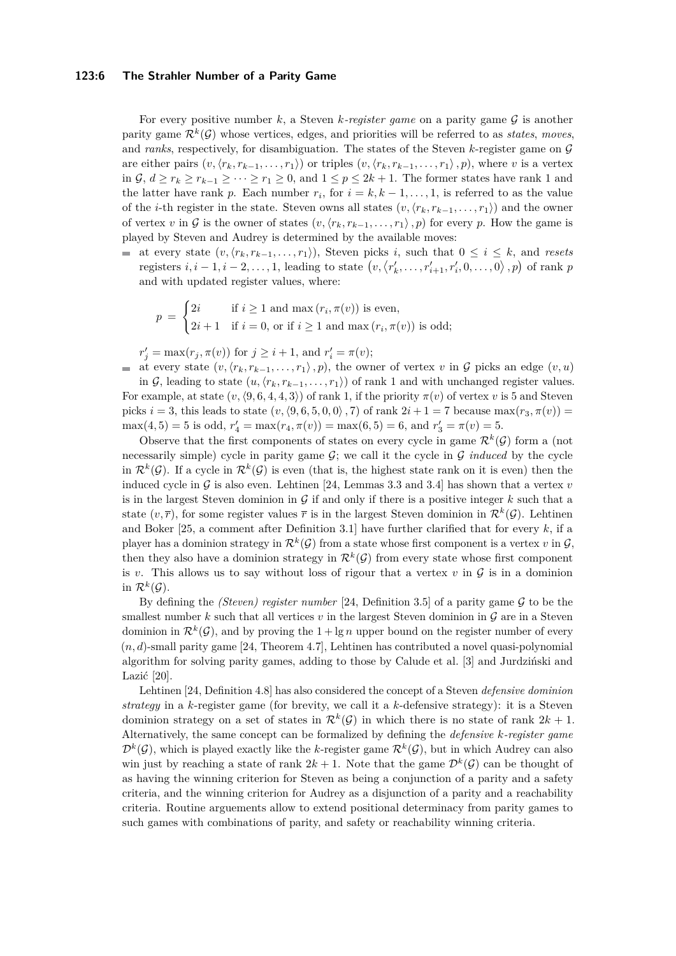#### **123:6 The Strahler Number of a Parity Game**

For every positive number  $k$ , a Steven  $k$ -register game on a parity game  $\mathcal G$  is another parity game  $\mathcal{R}^k(\mathcal{G})$  whose vertices, edges, and priorities will be referred to as *states*, moves, and *ranks*, respectively, for disambiguation. The states of the Steven  $k$ -register game on  $\mathcal G$ are either pairs  $(v, \langle r_k, r_{k-1}, \ldots, r_1 \rangle)$  or triples  $(v, \langle r_k, r_{k-1}, \ldots, r_1 \rangle, p)$ , where *v* is a vertex in  $\mathcal{G}, d \geq r_k \geq r_{k-1} \geq \cdots \geq r_1 \geq 0$ , and  $1 \leq p \leq 2k+1$ . The former states have rank 1 and the latter have rank *p*. Each number  $r_i$ , for  $i = k, k - 1, \ldots, 1$ , is referred to as the value of the *i*-th register in the state. Steven owns all states  $(v, \langle r_k, r_{k-1}, \ldots, r_1 \rangle)$  and the owner of vertex *v* in G is the owner of states  $(v, \langle r_k, r_{k-1}, \ldots, r_1 \rangle, p)$  for every p. How the game is played by Steven and Audrey is determined by the available moves:

at every state  $(v, \langle r_k, r_{k-1}, \ldots, r_1 \rangle)$ , Steven picks *i*, such that  $0 \le i \le k$ , and *resets* registers  $i, i-1, i-2, \ldots, 1$ , leading to state  $(v, \langle r'_k, \ldots, r'_{i+1}, r'_i, 0, \ldots, 0 \rangle, p)$  of rank  $p$ and with updated register values, where:

$$
p = \begin{cases} 2i & \text{if } i \ge 1 \text{ and } \max(r_i, \pi(v)) \text{ is even,} \\ 2i + 1 & \text{if } i = 0, \text{ or if } i \ge 1 \text{ and } \max(r_i, \pi(v)) \text{ is odd;} \end{cases}
$$

 $r'_{j} = \max(r_{j}, \pi(v))$  for  $j \geq i + 1$ , and  $r'_{i} = \pi(v)$ ;

at every state  $(v, \langle r_k, r_{k-1}, \ldots, r_1 \rangle, p)$ , the owner of vertex *v* in G picks an edge  $(v, u)$ 

in G, leading to state  $(u, \langle r_k, r_{k-1}, \ldots, r_1 \rangle)$  of rank 1 and with unchanged register values. For example, at state  $(v, \langle 9, 6, 4, 4, 3 \rangle)$  of rank 1, if the priority  $\pi(v)$  of vertex *v* is 5 and Steven picks  $i = 3$ , this leads to state  $(v, \langle 9, 6, 5, 0, 0 \rangle, 7)$  of rank  $2i + 1 = 7$  because max $(r_3, \pi(v))$  $\max(4, 5) = 5$  is odd,  $r'_4 = \max(r_4, \pi(v)) = \max(6, 5) = 6$ , and  $r'_3 = \pi(v) = 5$ .

Observe that the first components of states on every cycle in game  $\mathcal{R}^k(\mathcal{G})$  form a (not necessarily simple) cycle in parity game  $G$ ; we call it the cycle in  $G$  *induced* by the cycle in  $\mathcal{R}^k(\mathcal{G})$ . If a cycle in  $\mathcal{R}^k(\mathcal{G})$  is even (that is, the highest state rank on it is even) then the induced cycle in  $G$  is also even. Lehtinen [\[24,](#page-17-12) Lemmas 3.3 and 3.4] has shown that a vertex  $v$ is in the largest Steven dominion in  $G$  if and only if there is a positive integer  $k$  such that a state  $(v, \overline{r})$ , for some register values  $\overline{r}$  is in the largest Steven dominion in  $\mathcal{R}^k(\mathcal{G})$ . Lehtinen and Boker [\[25,](#page-17-21) a comment after Definition 3.1] have further clarified that for every *k*, if a player has a dominion strategy in  $\mathcal{R}^k(\mathcal{G})$  from a state whose first component is a vertex *v* in  $\mathcal{G},$ then they also have a dominion strategy in  $\mathcal{R}^k(\mathcal{G})$  from every state whose first component is *v*. This allows us to say without loss of rigour that a vertex *v* in  $\mathcal G$  is in a dominion in  $\mathcal{R}^k(\mathcal{G})$ .

By defining the *(Steven) register number* [\[24,](#page-17-12) Definition 3.5] of a parity game G to be the smallest number  $k$  such that all vertices  $v$  in the largest Steven dominion in  $\mathcal G$  are in a Steven dominion in  $\mathcal{R}^k(\mathcal{G})$ , and by proving the  $1 + \lg n$  upper bound on the register number of every  $(n, d)$ -small parity game [\[24,](#page-17-12) Theorem 4.7], Lehtinen has contributed a novel quasi-polynomial algorithm for solving parity games, adding to those by Calude et al. [\[3\]](#page-16-3) and Jurdziński and Lazić [\[20\]](#page-17-11).

Lehtinen [\[24,](#page-17-12) Definition 4.8] has also considered the concept of a Steven *defensive dominion strategy* in a *k*-register game (for brevity, we call it a *k*-defensive strategy): it is a Steven dominion strategy on a set of states in  $\mathcal{R}^k(\mathcal{G})$  in which there is no state of rank  $2k+1$ . Alternatively, the same concept can be formalized by defining the *defensive k-register game*  $\mathcal{D}^k(\mathcal{G})$ , which is played exactly like the *k*-register game  $\mathcal{R}^k(\mathcal{G})$ , but in which Audrey can also win just by reaching a state of rank  $2k+1$ . Note that the game  $\mathcal{D}^k(\mathcal{G})$  can be thought of as having the winning criterion for Steven as being a conjunction of a parity and a safety criteria, and the winning criterion for Audrey as a disjunction of a parity and a reachability criteria. Routine arguements allow to extend positional determinacy from parity games to such games with combinations of parity, and safety or reachability winning criteria.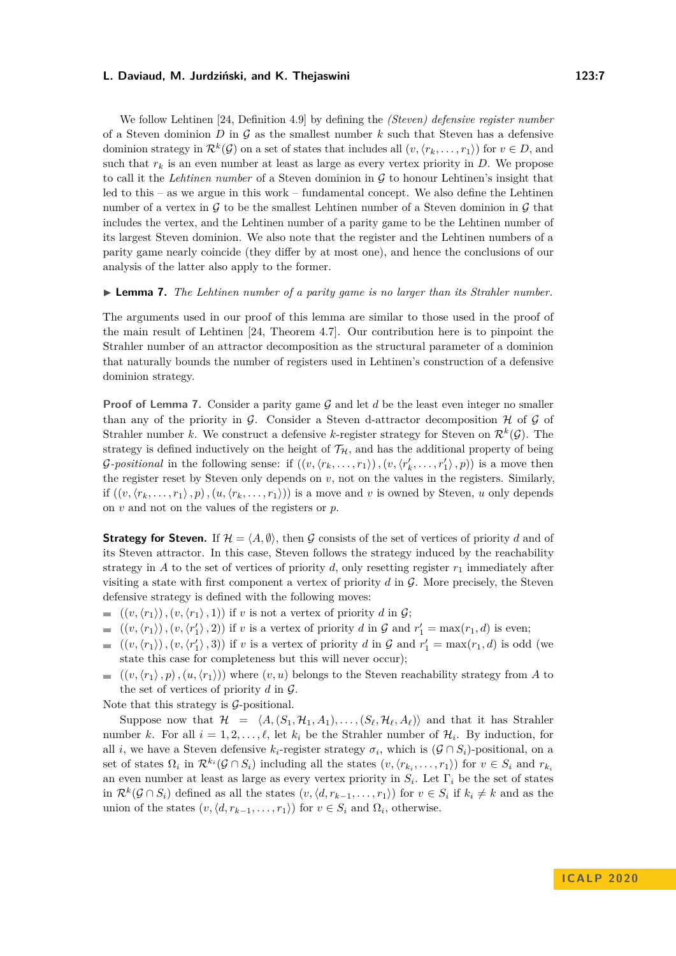We follow Lehtinen [\[24,](#page-17-12) Definition 4.9] by defining the *(Steven) defensive register number* of a Steven dominion *D* in G as the smallest number *k* such that Steven has a defensive dominion strategy in  $\mathcal{R}^k(\mathcal{G})$  on a set of states that includes all  $(v, \langle r_k, \ldots, r_1 \rangle)$  for  $v \in D$ , and such that  $r_k$  is an even number at least as large as every vertex priority in  $D$ . We propose to call it the *Lehtinen number* of a Steven dominion in G to honour Lehtinen's insight that led to this – as we argue in this work – fundamental concept. We also define the Lehtinen number of a vertex in  $\mathcal G$  to be the smallest Lehtinen number of a Steven dominion in  $\mathcal G$  that includes the vertex, and the Lehtinen number of a parity game to be the Lehtinen number of its largest Steven dominion. We also note that the register and the Lehtinen numbers of a parity game nearly coincide (they differ by at most one), and hence the conclusions of our analysis of the latter also apply to the former.

<span id="page-6-0"></span>I **Lemma 7.** *The Lehtinen number of a parity game is no larger than its Strahler number.*

The arguments used in our proof of this lemma are similar to those used in the proof of the main result of Lehtinen [\[24,](#page-17-12) Theorem 4.7]. Our contribution here is to pinpoint the Strahler number of an attractor decomposition as the structural parameter of a dominion that naturally bounds the number of registers used in Lehtinen's construction of a defensive dominion strategy.

**Proof of Lemma [7.](#page-6-0)** Consider a parity game G and let d be the least even integer no smaller than any of the priority in G. Consider a Steven d-attractor decomposition  $\mathcal H$  of G of Strahler number *k*. We construct a defensive *k*-register strategy for Steven on  $\mathcal{R}^k(\mathcal{G})$ . The strategy is defined inductively on the height of  $\mathcal{T}_{H}$ , and has the additional property of being *G*-positional in the following sense: if  $((v, \langle r_k, \ldots, r_1 \rangle), (v, \langle r'_k, \ldots, r'_1 \rangle, p))$  is a move then the register reset by Steven only depends on *v*, not on the values in the registers. Similarly, if  $((v, \langle r_k, \ldots, r_1 \rangle, p), (u, \langle r_k, \ldots, r_1 \rangle))$  is a move and *v* is owned by Steven, *u* only depends on *v* and not on the values of the registers or *p*.

**Strategy for Steven.** If  $\mathcal{H} = \langle A, \emptyset \rangle$ , then G consists of the set of vertices of priority d and of its Steven attractor. In this case, Steven follows the strategy induced by the reachability strategy in *A* to the set of vertices of priority *d*, only resetting register  $r_1$  immediately after visiting a state with first component a vertex of priority *d* in G. More precisely, the Steven defensive strategy is defined with the following moves:

- $= ((v,\langle r_1 \rangle), (v,\langle r_1 \rangle, 1))$  if *v* is not a vertex of priority *d* in G;
- $((v, \langle r_1 \rangle), (v, \langle r'_1 \rangle, 2))$  if *v* is a vertex of priority *d* in  $\mathcal G$  and  $r'_1 = \max(r_1, d)$  is even;
- $((v,\langle r_1 \rangle), (v,\langle r'_1 \rangle, 3))$  if *v* is a vertex of priority *d* in  $\mathcal G$  and  $r'_1 = \max(r_1,d)$  is odd (we  $\mathbf{r}$ state this case for completeness but this will never occur);
- $((v,\langle r_1 \rangle, p), (u,\langle r_1 \rangle))$  where  $(v,u)$  belongs to the Steven reachability strategy from *A* to  $\blacksquare$ the set of vertices of priority *d* in G.

Note that this strategy is  $G$ -positional.

Suppose now that  $\mathcal{H} = \langle A, (S_1, \mathcal{H}_1, A_1), \dots, (S_\ell, \mathcal{H}_\ell, A_\ell) \rangle$  and that it has Strahler number *k*. For all  $i = 1, 2, \ldots, \ell$ , let  $k_i$  be the Strahler number of  $\mathcal{H}_i$ . By induction, for all *i*, we have a Steven defensive  $k_i$ -register strategy  $\sigma_i$ , which is  $(G \cap S_i)$ -positional, on a set of states  $\Omega_i$  in  $\mathcal{R}^{k_i}(\mathcal{G} \cap S_i)$  including all the states  $(v, \langle r_{k_i}, \ldots, r_1 \rangle)$  for  $v \in S_i$  and  $r_{k_i}$ an even number at least as large as every vertex priority in *S<sup>i</sup>* . Let Γ*<sup>i</sup>* be the set of states in  $\mathcal{R}^k(\mathcal{G} \cap S_i)$  defined as all the states  $(v, \langle d, r_{k-1}, \ldots, r_1 \rangle)$  for  $v \in S_i$  if  $k_i \neq k$  and as the union of the states  $(v, \langle d, r_{k-1}, \ldots, r_1 \rangle)$  for  $v \in S_i$  and  $\Omega_i$ , otherwise.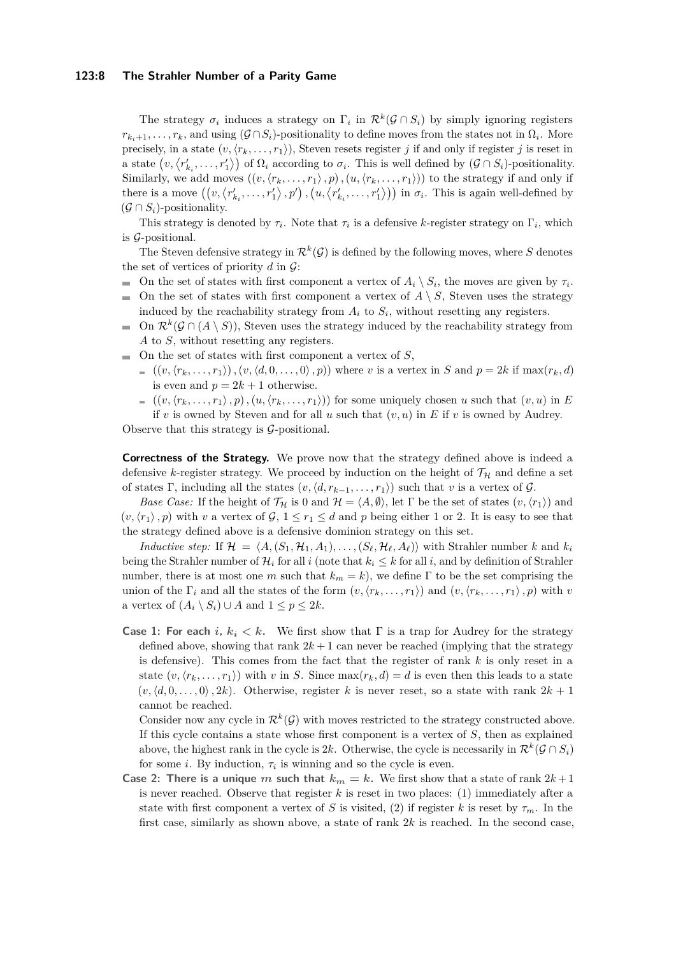#### **123:8 The Strahler Number of a Parity Game**

The strategy  $\sigma_i$  induces a strategy on  $\Gamma_i$  in  $\mathcal{R}^k(\mathcal{G} \cap S_i)$  by simply ignoring registers  $r_{k_i+1}, \ldots, r_k$ , and using  $(G \cap S_i)$ -positionality to define moves from the states not in  $\Omega_i$ . More precisely, in a state  $(v, \langle r_k, \ldots, r_1 \rangle)$ , Steven resets register *j* if and only if register *j* is reset in a state  $(v, \langle r'_{k_i}, \ldots, r'_1 \rangle)$  of  $\Omega_i$  according to  $\sigma_i$ . This is well defined by  $(\mathcal{G} \cap S_i)$ -positionality. Similarly, we add moves  $((v, \langle r_k, \ldots, r_1 \rangle, p), (u, \langle r_k, \ldots, r_1 \rangle))$  to the strategy if and only if there is a move  $((v, \langle r'_{k_i}, \ldots, r'_1 \rangle, p')$  ,  $(u, \langle r'_{k_i}, \ldots, r'_1 \rangle))$  in  $\sigma_i$ . This is again well-defined by  $(G \cap S_i)$ -positionality.

This strategy is denoted by  $\tau_i$ . Note that  $\tau_i$  is a defensive *k*-register strategy on  $\Gamma_i$ , which is  $\mathcal{G}$ -positional.

The Steven defensive strategy in  $\mathcal{R}^k(\mathcal{G})$  is defined by the following moves, where S denotes the set of vertices of priority  $d$  in  $\mathcal{G}$ :

- On the set of states with first component a vertex of  $A_i \setminus S_i$ , the moves are given by  $\tau_i$ .
- $\blacksquare$  On the set of states with first component a vertex of  $A \setminus S$ , Steven uses the strategy induced by the reachability strategy from  $A_i$  to  $S_i$ , without resetting any registers.
- On  $\mathcal{R}^k(\mathcal{G} \cap (A \setminus S))$ , Steven uses the strategy induced by the reachability strategy from m. *A* to *S*, without resetting any registers.
- On the set of states with first component a vertex of *S*,
	- $((v, \langle r_k, \ldots, r_1 \rangle), (v, \langle d, 0, \ldots, 0 \rangle, p))$  where *v* is a vertex in *S* and  $p = 2k$  if max( $r_k, d$ ) is even and  $p = 2k + 1$  otherwise.
- $((v, \langle r_k, \ldots, r_1 \rangle, p), (u, \langle r_k, \ldots, r_1 \rangle))$  for some uniquely chosen *u* such that  $(v, u)$  in *E* if *v* is owned by Steven and for all *u* such that  $(v, u)$  in *E* if *v* is owned by Audrey. Observe that this strategy is G-positional.

**Correctness of the Strategy.** We prove now that the strategy defined above is indeed a defensive *k*-register strategy. We proceed by induction on the height of  $\mathcal{T}_{H}$  and define a set of states Γ, including all the states  $(v, \langle d, r_{k-1}, \ldots, r_1 \rangle)$  such that *v* is a vertex of G.

*Base Case:* If the height of  $\mathcal{T}_H$  is 0 and  $\mathcal{H} = \langle A, \emptyset \rangle$ , let  $\Gamma$  be the set of states  $(v, \langle r_1 \rangle)$  and  $(v, \langle r_1 \rangle, p)$  with *v* a vertex of  $\mathcal{G}, 1 \leq r_1 \leq d$  and *p* being either 1 or 2. It is easy to see that the strategy defined above is a defensive dominion strategy on this set.

*Inductive step:* If  $\mathcal{H} = \langle A, (S_1, \mathcal{H}_1, A_1), \ldots, (S_\ell, \mathcal{H}_\ell, A_\ell) \rangle$  with Strahler number *k* and  $k_i$ being the Strahler number of  $\mathcal{H}_i$  for all  $i$  (note that  $k_i \leq k$  for all  $i$ , and by definition of Strahler number, there is at most one *m* such that  $k_m = k$ , we define Γ to be the set comprising the union of the  $\Gamma_i$  and all the states of the form  $(v, \langle r_k, \ldots, r_1 \rangle)$  and  $(v, \langle r_k, \ldots, r_1 \rangle, p)$  with *v* a vertex of  $(A_i \setminus S_i) \cup A$  and  $1 \leq p \leq 2k$ .

**Case 1: For each** *i*,  $k_i \leq k$ . We first show that  $\Gamma$  is a trap for Audrey for the strategy defined above, showing that rank  $2k + 1$  can never be reached (implying that the strategy is defensive). This comes from the fact that the register of rank *k* is only reset in a state  $(v, \langle r_k, \ldots, r_1 \rangle)$  with *v* in *S*. Since  $\max(r_k, d) = d$  is even then this leads to a state  $(v, \langle d, 0, \ldots, 0 \rangle, 2k)$ . Otherwise, register *k* is never reset, so a state with rank  $2k + 1$ cannot be reached.

Consider now any cycle in  $\mathcal{R}^k(\mathcal{G})$  with moves restricted to the strategy constructed above. If this cycle contains a state whose first component is a vertex of *S*, then as explained above, the highest rank in the cycle is 2*k*. Otherwise, the cycle is necessarily in  $\mathcal{R}^k(\mathcal{G} \cap S_i)$ for some *i*. By induction,  $\tau_i$  is winning and so the cycle is even.

**Case 2: There is a unique** *m* such that  $k_m = k$ . We first show that a state of rank  $2k+1$ is never reached. Observe that register  $k$  is reset in two places:  $(1)$  immediately after a state with first component a vertex of *S* is visited, (2) if register *k* is reset by  $\tau_m$ . In the first case, similarly as shown above, a state of rank 2*k* is reached. In the second case,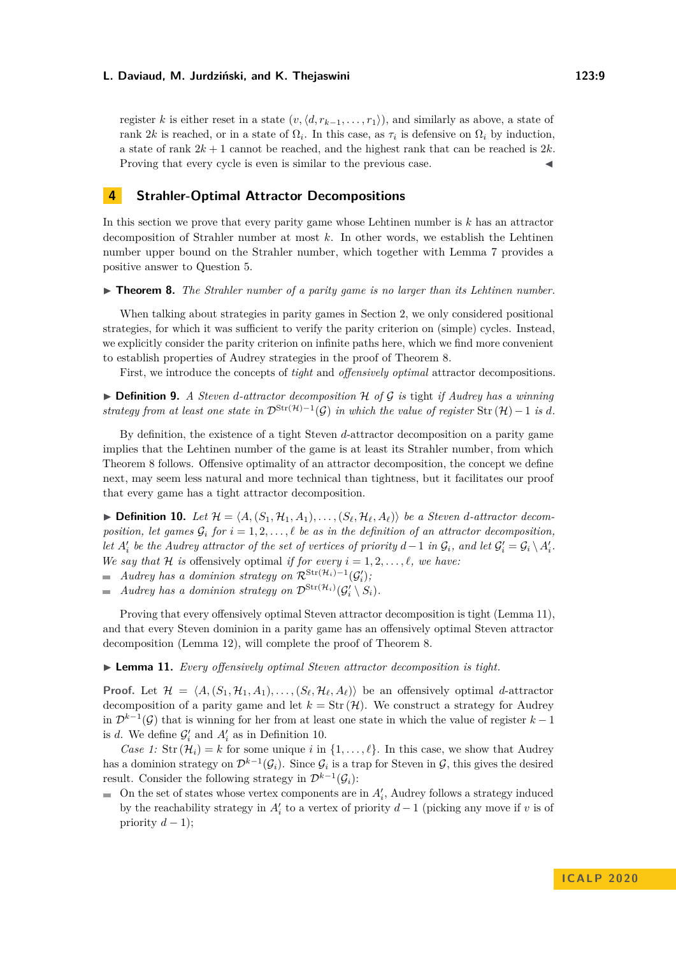register *k* is either reset in a state  $(v, \langle d, r_{k-1}, \ldots, r_1 \rangle)$ , and similarly as above, a state of rank 2*k* is reached, or in a state of  $\Omega_i$ . In this case, as  $\tau_i$  is defensive on  $\Omega_i$  by induction, a state of rank  $2k + 1$  cannot be reached, and the highest rank that can be reached is  $2k$ . Proving that every cycle is even is similar to the previous case.

# **4 Strahler-Optimal Attractor Decompositions**

In this section we prove that every parity game whose Lehtinen number is *k* has an attractor decomposition of Strahler number at most *k*. In other words, we establish the Lehtinen number upper bound on the Strahler number, which together with Lemma [7](#page-6-0) provides a positive answer to Question [5.](#page-4-0)

<span id="page-8-0"></span> $\triangleright$  **Theorem 8.** The Strahler number of a parity game is no larger than its Lehtinen number.

When talking about strategies in parity games in Section [2,](#page-2-0) we only considered positional strategies, for which it was sufficient to verify the parity criterion on (simple) cycles. Instead, we explicitly consider the parity criterion on infinite paths here, which we find more convenient to establish properties of Audrey strategies in the proof of Theorem [8.](#page-8-0)

First, we introduce the concepts of *tight* and *offensively optimal* attractor decompositions.

▶ **Definition 9.** *A Steven d-attractor decomposition* H *of* G *is* tight *if Audrey has a winning strategy from at least one state in*  $\mathcal{D}^{\text{Str}(\mathcal{H})-1}(\mathcal{G})$  *in which the value of register* Str  $(\mathcal{H})-1$  *is d.* 

By definition, the existence of a tight Steven *d*-attractor decomposition on a parity game implies that the Lehtinen number of the game is at least its Strahler number, from which Theorem [8](#page-8-0) follows. Offensive optimality of an attractor decomposition, the concept we define next, may seem less natural and more technical than tightness, but it facilitates our proof that every game has a tight attractor decomposition.

<span id="page-8-2"></span> $\blacktriangleright$  **Definition 10.** Let  $\mathcal{H} = \langle A, (S_1, \mathcal{H}_1, A_1), \ldots, (S_\ell, \mathcal{H}_\ell, A_\ell) \rangle$  be a Steven *d*-attractor decom*position, let games*  $G_i$  *for*  $i = 1, 2, \ldots, \ell$  *be as in the definition of an attractor decomposition, let*  $A'_i$  *be the Audrey attractor of the set of vertices of priority*  $d-1$  *in*  $\mathcal{G}_i$ *, and let*  $\mathcal{G}'_i = \mathcal{G}_i \setminus A'_i$ *. We say that*  $H$  *is* offensively optimal *if for every*  $i = 1, 2, \ldots, \ell$ , we have:

*Audrey has a dominion strategy on*  $\mathcal{R}^{\text{Str}(\mathcal{H}_i) - 1}(\mathcal{G}'_i)$ ;

*Audrey has a dominion strategy on*  $\mathcal{D}^{\mathrm{Str}(\mathcal{H}_i)}(\mathcal{G}'_i \setminus S_i)$ .

Proving that every offensively optimal Steven attractor decomposition is tight (Lemma [11\)](#page-8-1), and that every Steven dominion in a parity game has an offensively optimal Steven attractor decomposition (Lemma [12\)](#page-9-0), will complete the proof of Theorem [8.](#page-8-0)

#### <span id="page-8-1"></span>I **Lemma 11.** *Every offensively optimal Steven attractor decomposition is tight.*

**Proof.** Let  $\mathcal{H} = \langle A, (S_1, \mathcal{H}_1, A_1), \ldots, (S_\ell, \mathcal{H}_\ell, A_\ell) \rangle$  be an offensively optimal *d*-attractor decomposition of a parity game and let  $k = Str(\mathcal{H})$ . We construct a strategy for Audrey in D*<sup>k</sup>*−<sup>1</sup> (G) that is winning for her from at least one state in which the value of register *k* − 1 is *d*. We define  $\mathcal{G}'_i$  and  $A'_i$  as in Definition [10.](#page-8-2)

*Case 1:* Str  $(\mathcal{H}_i) = k$  for some unique *i* in  $\{1, \ldots, \ell\}$ . In this case, we show that Audrey has a dominion strategy on  $\mathcal{D}^{k-1}(\mathcal{G}_i)$ . Since  $\mathcal{G}_i$  is a trap for Steven in  $\mathcal{G}$ , this gives the desired result. Consider the following strategy in  $\mathcal{D}^{k-1}(\mathcal{G}_i)$ :

On the set of states whose vertex components are in  $A'_{i}$ , Audrey follows a strategy induced by the reachability strategy in  $A_i'$  to a vertex of priority  $d-1$  (picking any move if  $v$  is of priority  $d-1$ );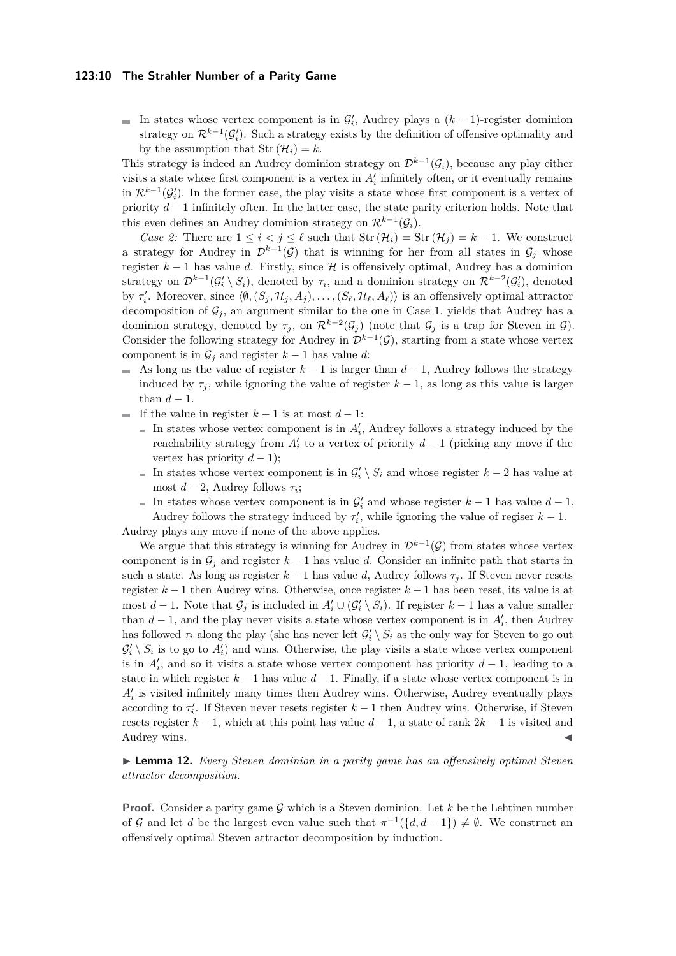#### **123:10 The Strahler Number of a Parity Game**

In states whose vertex component is in  $\mathcal{G}'_i$ , Audrey plays a  $(k-1)$ -register dominion strategy on  $\mathcal{R}^{k-1}(\mathcal{G}'_i)$ . Such a strategy exists by the definition of offensive optimality and by the assumption that  $\text{Str}(\mathcal{H}_i) = k$ .

This strategy is indeed an Audrey dominion strategy on  $\mathcal{D}^{k-1}(\mathcal{G}_i)$ , because any play either visits a state whose first component is a vertex in  $A_i'$  infinitely often, or it eventually remains in  $\mathcal{R}^{k-1}(\mathcal{G}'_i)$ . In the former case, the play visits a state whose first component is a vertex of priority *d* − 1 infinitely often. In the latter case, the state parity criterion holds. Note that this even defines an Audrey dominion strategy on  $\mathcal{R}^{k-1}(\mathcal{G}_i)$ .

*Case 2:* There are  $1 \leq i < j \leq \ell$  such that  $\text{Str}(\mathcal{H}_i) = \text{Str}(\mathcal{H}_j) = k - 1$ . We construct a strategy for Audrey in  $\mathcal{D}^{k-1}(\mathcal{G})$  that is winning for her from all states in  $\mathcal{G}_j$  whose register  $k-1$  has value *d*. Firstly, since H is offensively optimal, Audrey has a dominion strategy on  $\mathcal{D}^{k-1}(\mathcal{G}'_i \setminus S_i)$ , denoted by  $\tau_i$ , and a dominion strategy on  $\mathcal{R}^{k-2}(\mathcal{G}'_i)$ , denoted by  $\tau'_i$ . Moreover, since  $\langle \emptyset, (S_j, \mathcal{H}_j, A_j), \ldots, (S_\ell, \mathcal{H}_\ell, A_\ell) \rangle$  is an offensively optimal attractor decomposition of  $\mathcal{G}_i$ , an argument similar to the one in Case 1. yields that Audrey has a dominion strategy, denoted by  $\tau_j$ , on  $\mathcal{R}^{k-2}(\mathcal{G}_j)$  (note that  $\mathcal{G}_j$  is a trap for Steven in  $\mathcal{G}$ ). Consider the following strategy for Audrey in  $\mathcal{D}^{k-1}(\mathcal{G})$ , starting from a state whose vertex component is in  $\mathcal{G}_i$  and register  $k-1$  has value  $d$ :

- As long as the value of register  $k-1$  is larger than  $d-1$ , Audrey follows the strategy induced by  $\tau_i$ , while ignoring the value of register  $k-1$ , as long as this value is larger than  $d-1$ .
- If the value in register  $k-1$  is at most  $d-1$ :
	- In states whose vertex component is in  $A'_{i}$ , Audrey follows a strategy induced by the reachability strategy from  $A_i'$  to a vertex of priority  $d-1$  (picking any move if the vertex has priority  $d-1$ ;
	- In states whose vertex component is in  $\mathcal{G}'_i \setminus S_i$  and whose register  $k-2$  has value at most  $d-2$ , Audrey follows  $\tau_i$ ;
- In states whose vertex component is in  $\mathcal{G}'_i$  and whose register  $k-1$  has value  $d-1$ , Audrey follows the strategy induced by  $\tau'_i$ , while ignoring the value of regiser  $k-1$ . Audrey plays any move if none of the above applies.

We argue that this strategy is winning for Audrey in  $\mathcal{D}^{k-1}(\mathcal{G})$  from states whose vertex component is in  $\mathcal{G}_j$  and register  $k-1$  has value *d*. Consider an infinite path that starts in such a state. As long as register  $k-1$  has value d, Audrey follows  $\tau_j$ . If Steven never resets register *k* − 1 then Audrey wins. Otherwise, once register *k* − 1 has been reset, its value is at most  $d-1$ . Note that  $\mathcal{G}_j$  is included in  $A'_i \cup (\mathcal{G}'_i \setminus S_i)$ . If register  $k-1$  has a value smaller than  $d-1$ , and the play never visits a state whose vertex component is in  $A'_{i}$ , then Audrey has followed  $\tau_i$  along the play (she has never left  $\mathcal{G}'_i \setminus S_i$  as the only way for Steven to go out  $\mathcal{G}'_i \setminus S_i$  is to go to  $A'_i$ ) and wins. Otherwise, the play visits a state whose vertex component is in  $A_i'$ , and so it visits a state whose vertex component has priority  $d-1$ , leading to a state in which register  $k - 1$  has value  $d - 1$ . Finally, if a state whose vertex component is in  $A'_{i}$  is visited infinitely many times then Audrey wins. Otherwise, Audrey eventually plays according to  $\tau'_i$ . If Steven never resets register  $k-1$  then Audrey wins. Otherwise, if Steven resets register  $k-1$ , which at this point has value  $d-1$ , a state of rank  $2k-1$  is visited and Audrey wins.

<span id="page-9-0"></span>I **Lemma 12.** *Every Steven dominion in a parity game has an offensively optimal Steven attractor decomposition.*

**Proof.** Consider a parity game  $\mathcal{G}$  which is a Steven dominion. Let  $k$  be the Lehtinen number of G and let *d* be the largest even value such that  $\pi^{-1}(\{d, d-1\}) \neq \emptyset$ . We construct an offensively optimal Steven attractor decomposition by induction.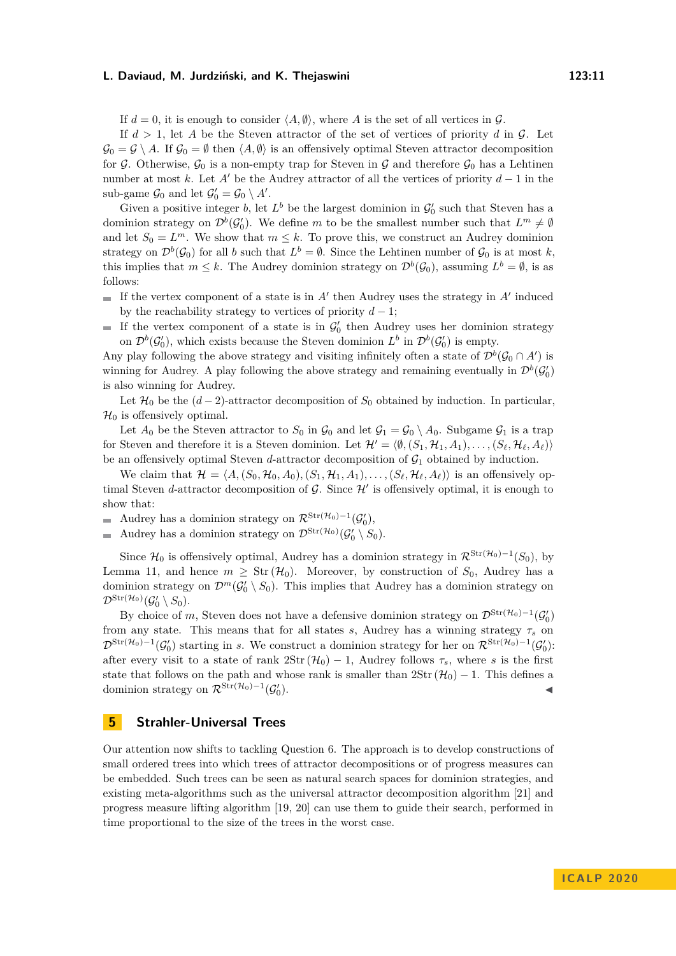If  $d = 0$ , it is enough to consider  $\langle A, \emptyset \rangle$ , where A is the set of all vertices in G.

If  $d > 1$ , let A be the Steven attractor of the set of vertices of priority d in  $\mathcal{G}$ . Let  $\mathcal{G}_0 = \mathcal{G} \setminus A$ . If  $\mathcal{G}_0 = \emptyset$  then  $\langle A, \emptyset \rangle$  is an offensively optimal Steven attractor decomposition for G. Otherwise,  $\mathcal{G}_0$  is a non-empty trap for Steven in G and therefore  $\mathcal{G}_0$  has a Lehtinen number at most *k*. Let *A'* be the Audrey attractor of all the vertices of priority  $d-1$  in the sub-game  $\mathcal{G}_0$  and let  $\mathcal{G}'_0 = \mathcal{G}_0 \setminus A'$ .

Given a positive integer *b*, let  $L^b$  be the largest dominion in  $\mathcal{G}'_0$  such that Steven has a dominion strategy on  $\mathcal{D}^b(\mathcal{G}'_0)$ . We define *m* to be the smallest number such that  $L^m \neq \emptyset$ and let  $S_0 = L^m$ . We show that  $m \leq k$ . To prove this, we construct an Audrey dominion strategy on  $\mathcal{D}^b(\mathcal{G}_0)$  for all *b* such that  $L^b = \emptyset$ . Since the Lehtinen number of  $\mathcal{G}_0$  is at most *k*, this implies that  $m \leq k$ . The Audrey dominion strategy on  $\mathcal{D}^b(\mathcal{G}_0)$ , assuming  $L^b = \emptyset$ , is as follows:

- If the vertex component of a state is in  $A'$  then Audrey uses the strategy in  $A'$  induced by the reachability strategy to vertices of priority  $d-1$ ;
- If the vertex component of a state is in  $\mathcal{G}'_0$  then Audrey uses her dominion strategy on  $\mathcal{D}^b(\mathcal{G}'_0)$ , which exists because the Steven dominion  $L^b$  in  $\mathcal{D}^b(\mathcal{G}'_0)$  is empty.

Any play following the above strategy and visiting infinitely often a state of  $\mathcal{D}^b(\mathcal{G}_0 \cap A')$  is winning for Audrey. A play following the above strategy and remaining eventually in  $\mathcal{D}^b(\mathcal{G}'_0)$ is also winning for Audrey.

Let  $\mathcal{H}_0$  be the  $(d-2)$ -attractor decomposition of  $S_0$  obtained by induction. In particular,  $\mathcal{H}_0$  is offensively optimal.

Let  $A_0$  be the Steven attractor to  $S_0$  in  $\mathcal{G}_0$  and let  $\mathcal{G}_1 = \mathcal{G}_0 \setminus A_0$ . Subgame  $\mathcal{G}_1$  is a trap for Steven and therefore it is a Steven dominion. Let  $\mathcal{H}' = \langle \emptyset, (S_1, \mathcal{H}_1, A_1), \dots, (S_\ell, \mathcal{H}_\ell, A_\ell) \rangle$ be an offensively optimal Steven  $d$ -attractor decomposition of  $\mathcal{G}_1$  obtained by induction.

We claim that  $\mathcal{H} = \langle A, (S_0, \mathcal{H}_0, A_0), (S_1, \mathcal{H}_1, A_1), \dots, (S_\ell, \mathcal{H}_\ell, A_\ell) \rangle$  is an offensively optimal Steven *d*-attractor decomposition of  $G$ . Since  $\mathcal{H}'$  is offensively optimal, it is enough to show that:

Audrey has a dominion strategy on  $\mathcal{R}^{\text{Str}(\mathcal{H}_0) - 1}(\mathcal{G}'_0)$ ,  $\overline{\phantom{a}}$ 

Audrey has a dominion strategy on  $\mathcal{D}^{\text{Str}(\mathcal{H}_0)}(\mathcal{G}'_0 \setminus S_0)$ .  $\blacksquare$ 

Since  $\mathcal{H}_0$  is offensively optimal, Audrey has a dominion strategy in  $\mathcal{R}^{\text{Str}(\mathcal{H}_0)-1}(S_0)$ , by Lemma [11,](#page-8-1) and hence  $m \geq Str(\mathcal{H}_0)$ . Moreover, by construction of  $S_0$ , Audrey has a dominion strategy on  $\mathcal{D}^m(\mathcal{G}'_0 \setminus \mathcal{S}_0)$ . This implies that Audrey has a dominion strategy on  $\mathcal{D}^{\mathrm{Str}(\mathcal{H}_0)}(\mathcal{G}_0'\setminus S_0).$ 

By choice of *m*, Steven does not have a defensive dominion strategy on  $\mathcal{D}^{\text{Str}(\mathcal{H}_0) - 1}(\mathcal{G}_0')$ from any state. This means that for all states *s*, Audrey has a winning strategy  $\tau_s$  on  $\mathcal{D}^{\text{Str}(\mathcal{H}_0)-1}(\mathcal{G}_0')$  starting in *s*. We construct a dominion strategy for her on  $\mathcal{R}^{\text{Str}(\mathcal{H}_0)-1}(\mathcal{G}_0')$ : after every visit to a state of rank  $2\text{Str}(\mathcal{H}_0) - 1$ , Audrey follows  $\tau_s$ , where *s* is the first state that follows on the path and whose rank is smaller than  $2\text{Str}(\mathcal{H}_0) - 1$ . This defines a dominion strategy on  $\mathcal{R}^{\text{Str}(\mathcal{H}_0) - 1}(\mathcal{G}_0)$  $\blacksquare$ ).

# **5 Strahler-Universal Trees**

Our attention now shifts to tackling Question [6.](#page-4-1) The approach is to develop constructions of small ordered trees into which trees of attractor decompositions or of progress measures can be embedded. Such trees can be seen as natural search spaces for dominion strategies, and existing meta-algorithms such as the universal attractor decomposition algorithm [\[21\]](#page-17-16) and progress measure lifting algorithm [\[19,](#page-17-19) [20\]](#page-17-11) can use them to guide their search, performed in time proportional to the size of the trees in the worst case.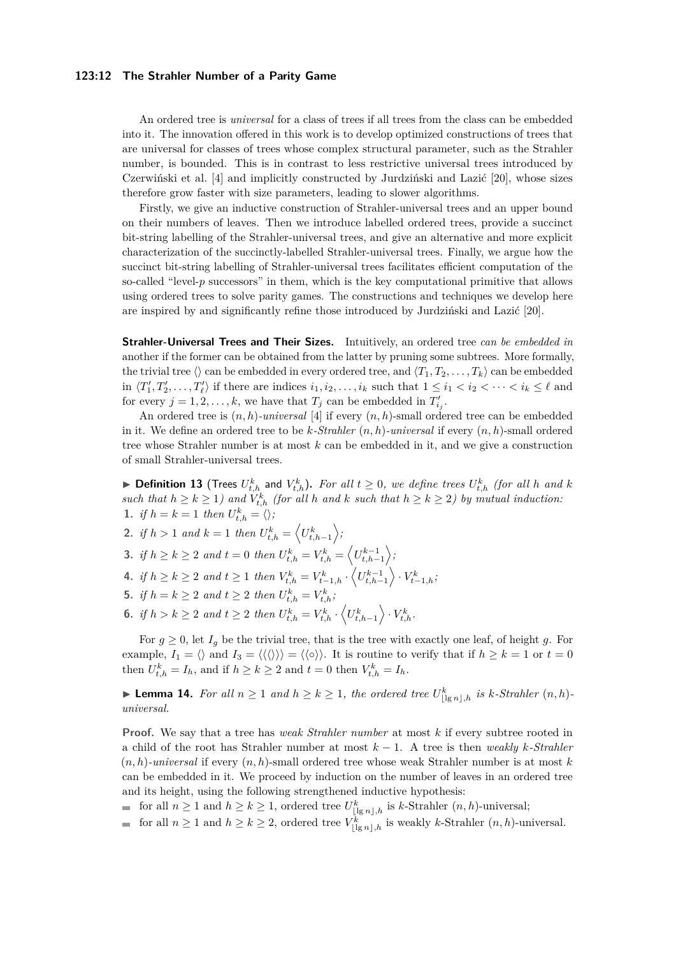#### **123:12 The Strahler Number of a Parity Game**

An ordered tree is *universal* for a class of trees if all trees from the class can be embedded into it. The innovation offered in this work is to develop optimized constructions of trees that are universal for classes of trees whose complex structural parameter, such as the Strahler number, is bounded. This is in contrast to less restrictive universal trees introduced by Czerwiński et al. [\[4\]](#page-16-4) and implicitly constructed by Jurdziński and Lazić [\[20\]](#page-17-11), whose sizes therefore grow faster with size parameters, leading to slower algorithms.

Firstly, we give an inductive construction of Strahler-universal trees and an upper bound on their numbers of leaves. Then we introduce labelled ordered trees, provide a succinct bit-string labelling of the Strahler-universal trees, and give an alternative and more explicit characterization of the succinctly-labelled Strahler-universal trees. Finally, we argue how the succinct bit-string labelling of Strahler-universal trees facilitates efficient computation of the so-called "level-*p* successors" in them, which is the key computational primitive that allows using ordered trees to solve parity games. The constructions and techniques we develop here are inspired by and significantly refine those introduced by Jurdziński and Lazić [\[20\]](#page-17-11).

**Strahler-Universal Trees and Their Sizes.** Intuitively, an ordered tree *can be embedded in* another if the former can be obtained from the latter by pruning some subtrees. More formally, the trivial tree  $\langle \rangle$  can be embedded in every ordered tree, and  $\langle T_1, T_2, \ldots, T_k \rangle$  can be embedded in  $\langle T_1', T_2', \ldots, T_\ell' \rangle$  if there are indices  $i_1, i_2, \ldots, i_k$  such that  $1 \leq i_1 < i_2 < \cdots < i_k \leq \ell$  and for every  $j = 1, 2, \ldots, k$ , we have that  $T_j$  can be embedded in  $T'_{i_j}$ .

An ordered tree is (*n, h*)*-universal* [\[4\]](#page-16-4) if every (*n, h*)-small ordered tree can be embedded in it. We define an ordered tree to be *k-Strahler* (*n, h*)*-universal* if every (*n, h*)-small ordered tree whose Strahler number is at most *k* can be embedded in it, and we give a construction of small Strahler-universal trees.

<span id="page-11-3"></span>▶ Definition 13 (Trees  $U_{t,h}^k$  and  $V_{t,h}^k$ ). For all  $t ≥ 0$ , we define trees  $U_{t,h}^k$  (for all h and k *such that*  $h \geq k \geq 1$  *and*  $V_{t,h}^k$  (for all *h* and *k such that*  $h \geq k \geq 2$ ) by mutual induction: 1. *if*  $h = k = 1$  *then*  $U_{t,h}^k = \langle \rangle$ ;

- **2.** *if*  $h > 1$  *and*  $k = 1$  *then*  $U_{t,h}^k = \langle U_{t,h-1}^k \rangle$ ,
- <span id="page-11-0"></span>**3.** *if*  $h \ge k \ge 2$  *and*  $t = 0$  *then*  $U_{t,h}^k = V_{t,h}^k = \left\langle U_{t,h-1}^{k-1} \right\rangle$ ,
- 4. if  $h \ge k \ge 2$  and  $t \ge 1$  then  $V_{t,h}^k = V_{t-1,h}^k \cdot \left\langle U_{t,h-1}^{k-1} \right\rangle \cdot V_{t-1,h}^k$ ;
- <span id="page-11-1"></span>**5.** *if*  $h = k \geq 2$  *and*  $t \geq 2$  *then*  $U_{t,h}^k = V_{t,h}^k$ ;
- <span id="page-11-2"></span>**6.** *if*  $h > k \geq 2$  *and*  $t \geq 2$  *then*  $U_{t,h}^k = V_{t,h}^k \cdot \left\langle U_{t,h-1}^k \right\rangle \cdot V_{t,h}^k$ .

For  $g \geq 0$ , let  $I_g$  be the trivial tree, that is the tree with exactly one leaf, of height *g*. For example,  $I_1 = \langle \rangle$  and  $I_3 = \langle \langle \langle \rangle \rangle \rangle = \langle \langle \circ \rangle \rangle$ . It is routine to verify that if  $h \geq k = 1$  or  $t = 0$ then  $U_{t,h}^k = I_h$ , and if  $h \geq k \geq 2$  and  $t = 0$  then  $V_{t,h}^k = I_h$ .

<span id="page-11-4"></span>▶ **Lemma 14.** *For all*  $n \ge 1$  *and*  $h \ge k \ge 1$ *, the ordered tree*  $U_{\lfloor \lg n \rfloor, h}^k$  *is k*-*Strahler*  $(n, h)$ *universal.*

**Proof.** We say that a tree has *weak Strahler number* at most *k* if every subtree rooted in a child of the root has Strahler number at most *k* − 1. A tree is then *weakly k-Strahler*  $(n, h)$ -universal if every  $(n, h)$ -small ordered tree whose weak Strahler number is at most  $k$ can be embedded in it. We proceed by induction on the number of leaves in an ordered tree and its height, using the following strengthened inductive hypothesis:

for all  $n \geq 1$  and  $h \geq k \geq 1$ , ordered tree  $U^k_{\lfloor \lg n \rfloor,h}$  is *k*-Strahler  $(n,h)$ -universal;

for all  $n \geq 1$  and  $h \geq k \geq 2$ , ordered tree  $V^k_{\lfloor \lg n \rfloor, h}$  is weakly *k*-Strahler  $(n, h)$ -universal.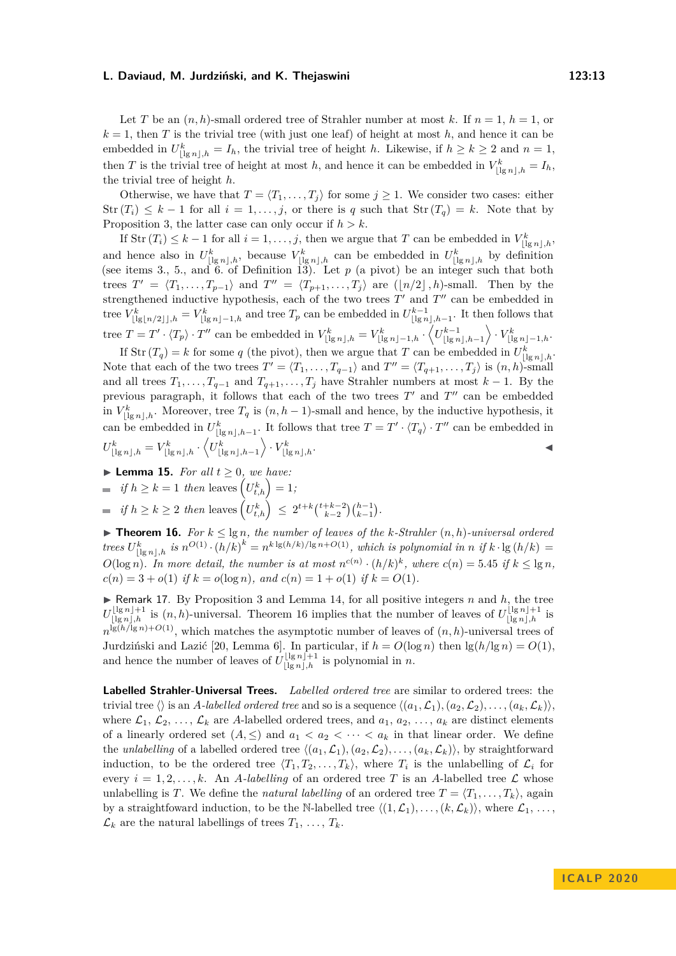Let *T* be an  $(n, h)$ -small ordered tree of Strahler number at most k. If  $n = 1$ ,  $h = 1$ , or  $k = 1$ , then *T* is the trivial tree (with just one leaf) of height at most *h*, and hence it can be embedded in  $U_{\lfloor \lg n \rfloor,h}^k = I_h$ , the trivial tree of height *h*. Likewise, if  $h \geq k \geq 2$  and  $n = 1$ , then *T* is the trivial tree of height at most *h*, and hence it can be embedded in  $V_{\lfloor \lg n \rfloor, h}^k = I_h$ , the trivial tree of height *h*.

Otherwise, we have that  $T = \langle T_1, \ldots, T_j \rangle$  for some  $j \geq 1$ . We consider two cases: either  $\text{Str}(T_i) \leq k-1$  for all  $i = 1, \ldots, j$ , or there is *q* such that  $\text{Str}(T_q) = k$ . Note that by Proposition [3,](#page-4-2) the latter case can only occur if  $h > k$ .

If  $\text{Str}(T_i) \leq k-1$  for all  $i = 1, \ldots, j$ , then we argue that *T* can be embedded in  $V^k_{\lfloor \lg n \rfloor, h}$ , and hence also in  $U^k_{\lfloor \lg n \rfloor,h}$ , because  $V^k_{\lfloor \lg n \rfloor,h}$  can be embedded in  $U^k_{\lfloor \lg n \rfloor,h}$  by definition (see items [3.](#page-11-0), [5.](#page-11-1), and [6.](#page-11-2) of Definition [13\)](#page-11-3). Let *p* (a pivot) be an integer such that both trees  $T' = \langle T_1, \ldots, T_{p-1} \rangle$  and  $T'' = \langle T_{p+1}, \ldots, T_j \rangle$  are  $(\lfloor n/2 \rfloor, h)$ -small. Then by the strengthened inductive hypothesis, each of the two trees  $T'$  and  $T''$  can be embedded in tree  $V^k_{\lfloor \lg\lfloor n/2\rfloor \rfloor,h} = V^k_{\lfloor \lg n\rfloor-1,h}$  and tree  $T_p$  can be embedded in  $U^{k-1}_{\lfloor \lg n\rfloor,h-1}$ . It then follows that tree  $T = T' \cdot \langle T_p \rangle \cdot T''$  can be embedded in  $V^k_{\lfloor \lg n \rfloor, h} = V^k_{\lfloor \lg n \rfloor - 1, h} \cdot \langle U^{k-1}_{\lfloor \lg n \rfloor, h-1} \rangle \cdot V^k_{\lfloor \lg n \rfloor - 1, h}$ .

If  $\text{Str}(T_q) = k$  for some *q* (the pivot), then we argue that *T* can be embedded in  $U_{\lfloor \lg n \rfloor, h}^k$ . Note that each of the two trees  $T' = \langle T_1, \ldots, T_{q-1} \rangle$  and  $T'' = \langle T_{q+1}, \ldots, T_j \rangle$  is  $(n, h)$ -small and all trees  $T_1, \ldots, T_{q-1}$  and  $T_{q+1}, \ldots, T_j$  have Strahler numbers at most  $k-1$ . By the previous paragraph, it follows that each of the two trees  $T'$  and  $T''$  can be embedded in  $V^k_{\lfloor \lg n \rfloor,h}$ . Moreover, tree  $T_q$  is  $(n, h-1)$ -small and hence, by the inductive hypothesis, it can be embedded in  $U_{\lfloor \lg n \rfloor, h-1}^k$ . It follows that tree  $T = T' \cdot \langle T_q \rangle \cdot T''$  can be embedded in  $U^k_{\lfloor \lg n \rfloor, h} = V^k_{\lfloor \lg n \rfloor, h} \cdot \left\langle U^k_{\lfloor \lg n \rfloor, h-1} \right\rangle \cdot V^k_{\lfloor \lg n \rfloor, h}.$ 

<span id="page-12-1"></span>**Lemma 15.** For all 
$$
t \geq 0
$$
, we have:

- $if h \geq k = 1$  *then* leaves  $(U_{t,h}^k) = 1$ ;
- $if h \ge k \ge 2$  *then* leaves  $\left(U_{t,h}^k\right) \le 2^{t+k} \binom{t+k-2}{k-2} \binom{h-1}{k-1}.$

<span id="page-12-0"></span>▶ **Theorem 16.** *For*  $k \leq \lg n$ *, the number of leaves of the k-Strahler*  $(n, h)$ *-universal ordered* trees  $U^k_{\lfloor \lg n \rfloor,h}$  is  $n^{O(1)} \cdot (h/k)^k = n^{k \lg(h/k)/\lg n + O(1)}$ , which is polynomial in n if  $k \cdot \lg(h/k) =$ *O*(log *n*). In more detail, the number is at most  $n^{c(n)} \cdot (h/k)^k$ , where  $c(n) = 5.45$  if  $k \leq \lg n$ ,  $c(n) = 3 + o(1)$  *if*  $k = o(\log n)$ *, and*  $c(n) = 1 + o(1)$  *if*  $k = O(1)$ *.* 

 $\blacktriangleright$  Remark 17. By Proposition [3](#page-4-2) and Lemma [14,](#page-11-4) for all positive integers *n* and *h*, the tree  $U_{\lfloor \lg n \rfloor, h}^{\lfloor \lg n \rfloor + 1}$  is  $(n, h)$ -universal. Theorem [16](#page-12-0) implies that the number of leaves of  $U_{\lfloor \lg n \rfloor, h}^{\lfloor \lg n \rfloor + 1}$  is  $n^{\lg(h/\lg n)+O(1)}$ , which matches the asymptotic number of leaves of  $(n, h)$ -universal trees of Jurdziński and Lazić [\[20,](#page-17-11) Lemma 6]. In particular, if  $h = O(\log n)$  then  $\lg(h/\lg n) = O(1)$ . and hence the number of leaves of  $U_{\lfloor \lg n \rfloor,h}^{\lfloor \lg n \rfloor+1}$  is polynomial in *n*.

**Labelled Strahler-Universal Trees.** *Labelled ordered tree* are similar to ordered trees: the trivial tree  $\langle \rangle$  is an *A-labelled ordered tree* and so is a sequence  $\langle (a_1, \mathcal{L}_1), (a_2, \mathcal{L}_2), \ldots, (a_k, \mathcal{L}_k) \rangle$ . where  $\mathcal{L}_1, \mathcal{L}_2, \ldots, \mathcal{L}_k$  are *A*-labelled ordered trees, and  $a_1, a_2, \ldots, a_k$  are distinct elements of a linearly ordered set  $(A, \leq)$  and  $a_1 < a_2 < \cdots < a_k$  in that linear order. We define the *unlabelling* of a labelled ordered tree  $\langle (a_1, \mathcal{L}_1), (a_2, \mathcal{L}_2), \ldots, (a_k, \mathcal{L}_k) \rangle$ , by straightforward induction, to be the ordered tree  $\langle T_1, T_2, \ldots, T_k \rangle$ , where  $T_i$  is the unlabelling of  $\mathcal{L}_i$  for every  $i = 1, 2, \ldots, k$ . An *A*-labelling of an ordered tree *T* is an *A*-labelled tree *L* whose unlabelling is *T*. We define the *natural labelling* of an ordered tree  $T = \langle T_1, \ldots, T_k \rangle$ , again by a straightfoward induction, to be the N-labelled tree  $\langle (1,\mathcal{L}_1), \ldots, (k,\mathcal{L}_k) \rangle$ , where  $\mathcal{L}_1, \ldots$ ,  $\mathcal{L}_k$  are the natural labellings of trees  $T_1, \ldots, T_k$ .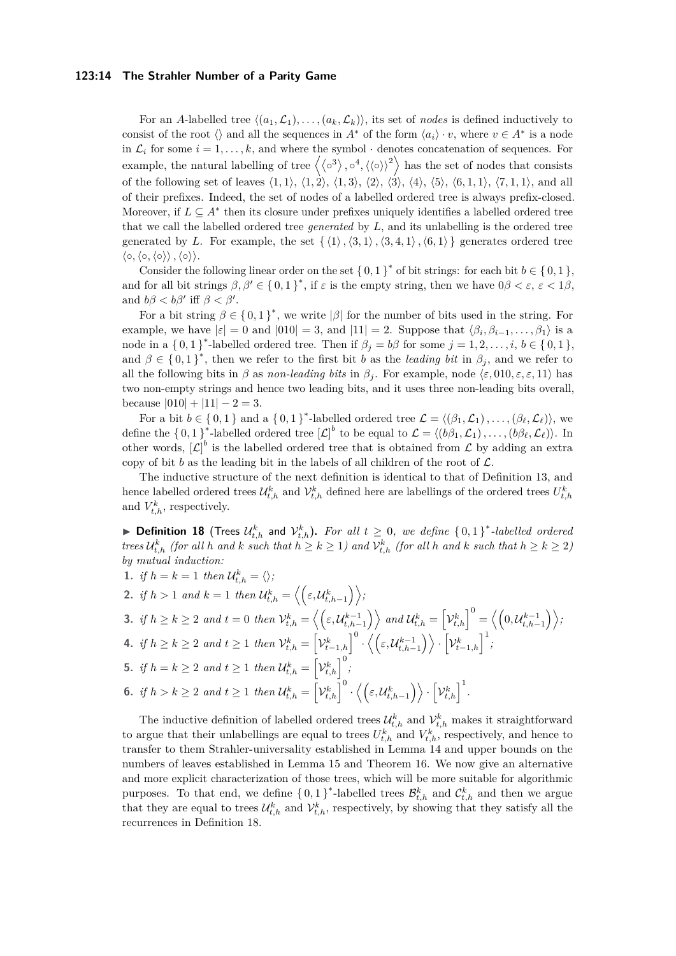#### **123:14 The Strahler Number of a Parity Game**

For an *A*-labelled tree  $\langle (a_1, \mathcal{L}_1), \ldots, (a_k, \mathcal{L}_k) \rangle$ , its set of *nodes* is defined inductively to consist of the root  $\langle \rangle$  and all the sequences in *A*<sup>\*</sup> of the form  $\langle a_i \rangle \cdot v$ , where  $v \in A^*$  is a node in  $\mathcal{L}_i$  for some  $i = 1, \ldots, k$ , and where the symbol  $\cdot$  denotes concatenation of sequences. For example, the natural labelling of tree  $\langle \langle \circ^3 \rangle, \circ^4, \langle \langle \circ \rangle \rangle^2$  has the set of nodes that consists of the following set of leaves  $\langle 1, 1 \rangle$ ,  $\langle 1, 2 \rangle$ ,  $\langle 1, 3 \rangle$ ,  $\langle 2 \rangle$ ,  $\langle 3 \rangle$ ,  $\langle 4 \rangle$ ,  $\langle 5 \rangle$ ,  $\langle 6, 1, 1 \rangle$ ,  $\langle 7, 1, 1 \rangle$ , and all of their prefixes. Indeed, the set of nodes of a labelled ordered tree is always prefix-closed. Moreover, if  $L \subseteq A^*$  then its closure under prefixes uniquely identifies a labelled ordered tree that we call the labelled ordered tree *generated* by *L*, and its unlabelling is the ordered tree generated by *L*. For example, the set  $\{\langle 1 \rangle, \langle 3, 1 \rangle, \langle 3, 4, 1 \rangle, \langle 6, 1 \rangle \}$  generates ordered tree  $\langle \circ, \langle \circ, \langle \circ \rangle \rangle, \langle \circ \rangle \rangle.$ 

Consider the following linear order on the set  $\{0,1\}^*$  of bit strings: for each bit  $b \in \{0,1\}$ , and for all bit strings  $\beta, \beta' \in \{0,1\}^*$ , if  $\varepsilon$  is the empty string, then we have  $0\beta < \varepsilon, \varepsilon < 1\beta$ , and  $b\beta < b\beta'$  iff  $\beta < \beta'$ .

For a bit string  $\beta \in \{0,1\}^*$ , we write  $|\beta|$  for the number of bits used in the string. For example, we have  $|\varepsilon| = 0$  and  $|010| = 3$ , and  $|11| = 2$ . Suppose that  $\langle \beta_i, \beta_{i-1}, \dots, \beta_1 \rangle$  is a node in a  $\{0,1\}^*$ -labelled ordered tree. Then if  $\beta_j = b\beta$  for some  $j = 1, 2, \ldots, i, b \in \{0, 1\}$ , and  $\beta \in \{0,1\}^*$ , then we refer to the first bit *b* as the *leading bit* in  $\beta_j$ , and we refer to all the following bits in *β* as *non-leading bits* in  $\beta_j$ . For example, node  $\langle \varepsilon, 010, \varepsilon, \varepsilon, 11 \rangle$  has two non-empty strings and hence two leading bits, and it uses three non-leading bits overall, because  $|010| + |11| - 2 = 3$ .

For a bit  $b \in \{0,1\}$  and a  $\{0,1\}^*$ -labelled ordered tree  $\mathcal{L} = \langle (\beta_1, \mathcal{L}_1), \ldots, (\beta_\ell, \mathcal{L}_\ell) \rangle$ , we define the  $\{0,1\}^*$ -labelled ordered tree  $[\mathcal{L}]^b$  to be equal to  $\mathcal{L} = \langle (b\beta_1,\mathcal{L}_1), \ldots, (b\beta_\ell,\mathcal{L}_\ell) \rangle$ . In other words,  $[\mathcal{L}]^b$  is the labelled ordered tree that is obtained from  $\mathcal L$  by adding an extra copy of bit  $b$  as the leading bit in the labels of all children of the root of  $\mathcal{L}$ .

The inductive structure of the next definition is identical to that of Definition [13,](#page-11-3) and hence labelled ordered trees  $\mathcal{U}_{t,h}^k$  and  $\mathcal{V}_{t,h}^k$  defined here are labellings of the ordered trees  $U_{t,h}^k$ and  $V_{t,h}^k$ , respectively.

<span id="page-13-0"></span>▶ Definition 18 (Trees  $\mathcal{U}_{t,h}^k$  and  $\mathcal{V}_{t,h}^k$ ). For all  $t ≥ 0$ , we define  $\{0,1\}^*$ -labelled ordered trees  $\mathcal{U}_{t,h}^k$  (for all h and k such that  $h \geq k \geq 1$ ) and  $\mathcal{V}_{t,h}^k$  (for all h and k such that  $h \geq k \geq 2$ ) *by mutual induction:*

- 1. *if*  $h = k = 1$  *then*  $\mathcal{U}_{t,h}^k = \langle \rangle$ ;
- 2. *if*  $h > 1$  *and*  $k = 1$  *then*  $\mathcal{U}_{t,h}^k = \left\langle \left( \varepsilon, \mathcal{U}_{t,h-1}^k \right) \right\rangle$ , 3. if  $h \ge k \ge 2$  and  $t = 0$  then  $\mathcal{V}_{t,h}^k = \left\langle \left( \varepsilon, \mathcal{U}_{t,h-1}^{k-1} \right) \right\rangle$  and  $\mathcal{U}_{t,h}^k = \left[ \mathcal{V}_{t,h}^k \right]^0 = \left\langle \left( 0, \mathcal{U}_{t,h-1}^{k-1} \right) \right\rangle$ 4. if  $h \ge k \ge 2$  and  $t \ge 1$  then  $\mathcal{V}_{t,h}^k = \left[\mathcal{V}_{t-1,h}^k\right]^0 \cdot \left\langle \left(\varepsilon, \mathcal{U}_{t,h-1}^{k-1}\right)\right\rangle \cdot \left[\mathcal{V}_{t-1,h}^k\right]^1$ **5.** *if*  $h = k \geq 2$  *and*  $t \geq 1$  *then*  $\mathcal{U}_{t,h}^k = \left[ \mathcal{V}_{t,h}^k \right]^0$ ; **6.** *if*  $h > k \geq 2$  *and*  $t \geq 1$  *then*  $\mathcal{U}_{t,h}^k = \left[\mathcal{V}_{t,h}^k\right]^0 \cdot \left\langle \left(\varepsilon, \mathcal{U}_{t,h-1}^k\right)\right\rangle \cdot \left[\mathcal{V}_{t,h}^k\right]^1$ .

The inductive definition of labelled ordered trees  $\mathcal{U}_{t,h}^k$  and  $\mathcal{V}_{t,h}^k$  makes it straightforward to argue that their unlabellings are equal to trees  $U_{t,h}^k$  and  $V_{t,h}^k$ , respectively, and hence to transfer to them Strahler-universality established in Lemma [14](#page-11-4) and upper bounds on the numbers of leaves established in Lemma [15](#page-12-1) and Theorem [16.](#page-12-0) We now give an alternative and more explicit characterization of those trees, which will be more suitable for algorithmic purposes. To that end, we define  $\{0,1\}^*$ -labelled trees  $\mathcal{B}_{t,h}^k$  and  $\mathcal{C}_{t,h}^k$  and then we argue that they are equal to trees  $\mathcal{U}_{t,h}^k$  and  $\mathcal{V}_{t,h}^k$ , respectively, by showing that they satisfy all the recurrences in Definition [18.](#page-13-0)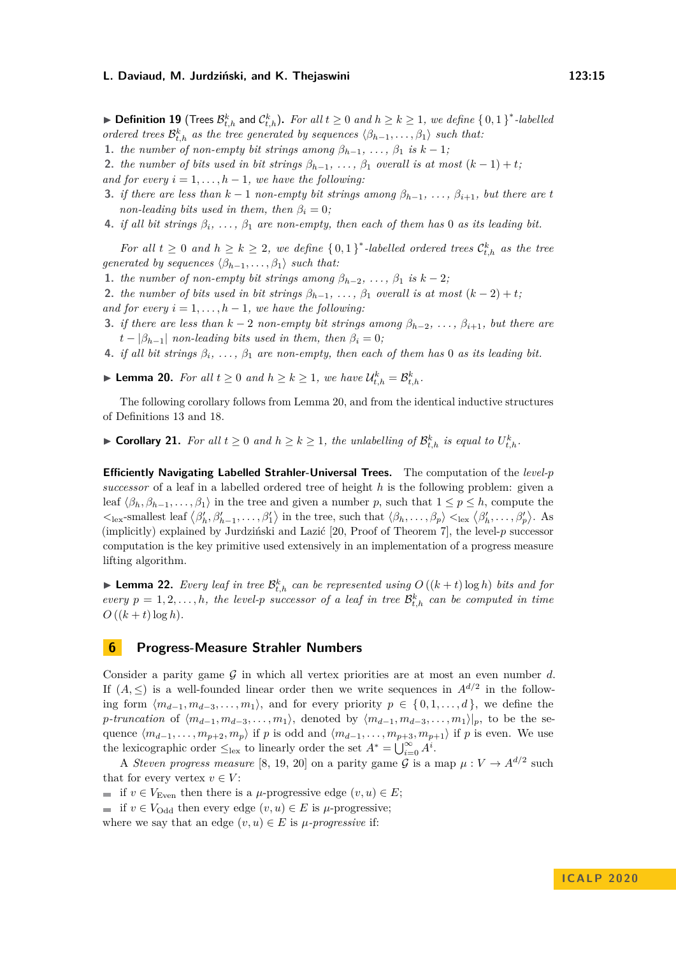▶ **Definition 19** (Trees  $\mathcal{B}_{t,h}^k$  and  $\mathcal{C}_{t,h}^k$ ). For all  $t ≥ 0$  and  $h ≥ k ≥ 1$ , we define  $\{0,1\}^*$ -labelled *ordered trees*  $\mathcal{B}_{t,h}^k$  *as the tree generated by sequences*  $\langle \beta_{h-1}, \ldots, \beta_1 \rangle$  *such that:* 

**1.** *the number of non-empty bit strings among*  $\beta_{h-1}, \ldots, \beta_1$  *is*  $k-1$ *;* 

**2.** *the number of bits used in bit strings*  $\beta_{h-1}, \ldots, \beta_1$  *overall is at most*  $(k-1)+t$ ;

- *and for every*  $i = 1, \ldots, h 1$ *, we have the following:*
- **3.** *if there are less than*  $k-1$  *non-empty bit strings among*  $\beta_{h-1}, \ldots, \beta_{i+1}$ *, but there are t non-leading bits used in them, then*  $\beta_i = 0$ ;
- **4.** *if all bit strings*  $\beta_i$ , ...,  $\beta_1$  *are non-empty, then each of them has* 0 *as its leading bit.*

*For all*  $t \geq 0$  *and*  $h \geq k \geq 2$ , we define  $\{0,1\}^*$ -labelled ordered trees  $\mathcal{C}_{t,h}^k$  as the tree *generated by sequences*  $\langle \beta_{h-1}, \ldots, \beta_1 \rangle$  *such that:* 

**1.** *the number of non-empty bit strings among*  $\beta_{h-2}, \ldots, \beta_1$  *is*  $k-2$ *;* 

**2.** *the number of bits used in bit strings*  $\beta_{h-1}, \ldots, \beta_1$  *overall is at most*  $(k-2)+t$ ;

- *and for every*  $i = 1, \ldots, h 1$ , we have the following:
- **3.** *if there are less than*  $k-2$  *non-empty bit strings among*  $\beta_{h-2}, \ldots, \beta_{i+1}$ , but there are  $t - |\beta_{h-1}|$  *non-leading bits used in them, then*  $\beta_i = 0$ ;
- **4.** *if all bit strings*  $\beta_i$ , ...,  $\beta_1$  *are non-empty, then each of them has* 0 *as its leading bit.*
- <span id="page-14-0"></span>► **Lemma 20.** *For all*  $t \ge 0$  *and*  $h \ge k \ge 1$ *, we have*  $\mathcal{U}_{t,h}^k = \mathcal{B}_{t,h}^k$ *.*

The following corollary follows from Lemma [20,](#page-14-0) and from the identical inductive structures of Definitions [13](#page-11-3) and [18.](#page-13-0)

<span id="page-14-1"></span>▶ **Corollary 21.** *For all*  $t ≥ 0$  *and*  $h ≥ k ≥ 1$ *, the unlabelling of*  $\mathcal{B}_{t,h}^k$  *is equal to*  $U_{t,h}^k$ *.* 

**Efficiently Navigating Labelled Strahler-Universal Trees.** The computation of the *level-p successor* of a leaf in a labelled ordered tree of height *h* is the following problem: given a leaf  $\langle \beta_h, \beta_{h-1}, \ldots, \beta_1 \rangle$  in the tree and given a number *p*, such that  $1 \leq p \leq h$ , compute the  $\langle \mathcal{L}_{\text{lex}}\text{-smallest leaf }\langle \beta'_h, \beta'_{h-1}, \ldots, \beta'_1 \rangle \text{ in the tree, such that } \langle \beta_h, \ldots, \beta_p \rangle \langle \mathcal{L}_{\text{lex}}\langle \beta'_h, \ldots, \beta'_p \rangle.$  As (implicitly) explained by Jurdziński and Lazić [\[20,](#page-17-11) Proof of Theorem 7], the level-*p* successor computation is the key primitive used extensively in an implementation of a progress measure lifting algorithm.

<span id="page-14-2"></span>**Example 22.** Every leaf in tree  $\mathcal{B}_{t,h}^k$  can be represented using  $O((k + t) \log h)$  bits and for *every*  $p = 1, 2, \ldots, h$ *, the level-p successor of a leaf in tree*  $\mathcal{B}_{t,h}^k$  *can be computed in time*  $O((k + t) \log h)$ .

## **6 Progress-Measure Strahler Numbers**

Consider a parity game G in which all vertex priorities are at most an even number *d*. If  $(A, \leq)$  is a well-founded linear order then we write sequences in  $A^{d/2}$  in the following form  $\langle m_{d-1}, m_{d-3}, \ldots, m_1 \rangle$ , and for every priority  $p \in \{0, 1, \ldots, d\}$ , we define the *p*-truncation of  $\langle m_{d-1}, m_{d-3}, \ldots, m_1 \rangle$ , denoted by  $\langle m_{d-1}, m_{d-3}, \ldots, m_1 \rangle|_p$ , to be the sequence  $\langle m_{d-1}, \ldots, m_{p+2}, m_p \rangle$  if *p* is odd and  $\langle m_{d-1}, \ldots, m_{p+3}, m_{p+1} \rangle$  if *p* is even. We use the lexicographic order  $\leq_{\text{lex}}$  to linearly order the set  $A^* = \bigcup_{i=0}^{\infty} A^i$ .

A *Steven progress measure* [\[8,](#page-17-0) [19,](#page-17-19) [20\]](#page-17-11) on a parity game G is a map  $\mu : V \to A^{d/2}$  such that for every vertex  $v \in V$ :

if  $v \in V_{\text{Even}}$  then there is a *µ*-progressive edge  $(v, u) \in E$ ;

if  $v \in V_{\text{Odd}}$  then every edge  $(v, u) \in E$  is  $\mu$ -progressive;

where we say that an edge  $(v, u) \in E$  is  $\mu$ -progressive if: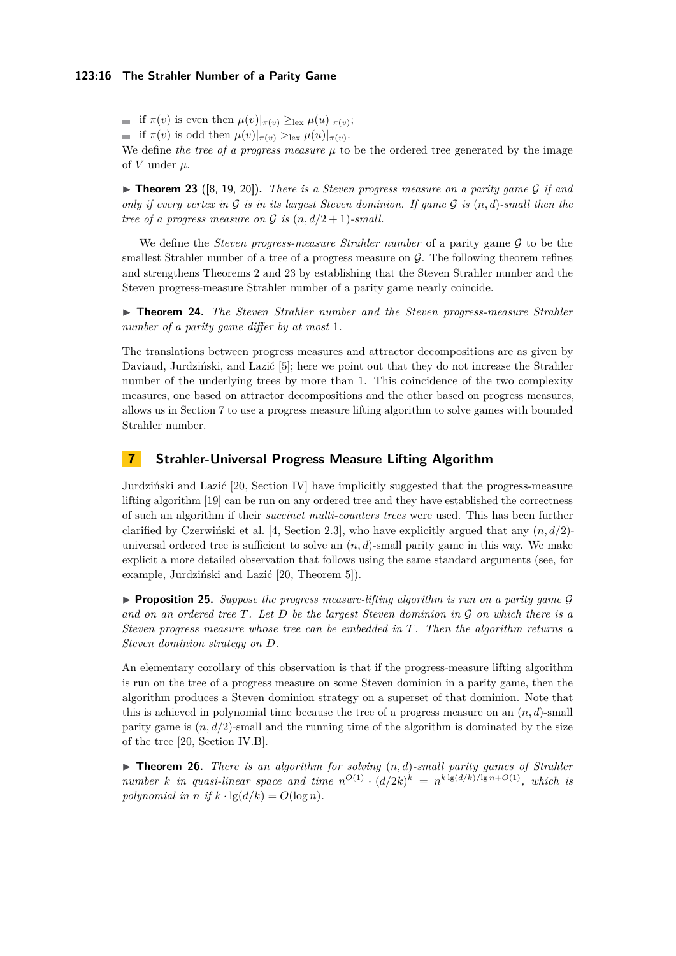if  $\pi(v)$  is even then  $\mu(v)|_{\pi(v)} \geq_{\text{lex}} \mu(u)|_{\pi(v)}$ ;

if  $\pi(v)$  is odd then  $\mu(v)|_{\pi(v)} >_{\text{lex}} \mu(u)|_{\pi(v)}$ .

We define *the tree of a progress measure*  $\mu$  to be the ordered tree generated by the image of  $V$  under  $\mu$ .

<span id="page-15-1"></span> $\triangleright$  **Theorem 23** ([\[8,](#page-17-0) [19,](#page-17-19) [20\]](#page-17-11)). *There is a Steven progress measure on a parity game G if and only if every vertex in*  $\mathcal G$  *is in its largest Steven dominion. If game*  $\mathcal G$  *is*  $(n, d)$ *-small then the tree of a progress measure on G is*  $(n, d/2 + 1)$ *-small.* 

We define the *Steven progress-measure Strahler number* of a parity game G to be the smallest Strahler number of a tree of a progress measure on  $\mathcal G$ . The following theorem refines and strengthens Theorems [2](#page-3-0) and [23](#page-15-1) by establishing that the Steven Strahler number and the Steven progress-measure Strahler number of a parity game nearly coincide.

<span id="page-15-3"></span>▶ **Theorem 24.** *The Steven Strahler number and the Steven progress-measure Strahler number of a parity game differ by at most* 1*.*

The translations between progress measures and attractor decompositions are as given by Daviaud, Jurdziński, and Lazić [\[5\]](#page-16-5); here we point out that they do not increase the Strahler number of the underlying trees by more than 1. This coincidence of the two complexity measures, one based on attractor decompositions and the other based on progress measures, allows us in Section [7](#page-15-2) to use a progress measure lifting algorithm to solve games with bounded Strahler number.

## <span id="page-15-2"></span>**7 Strahler-Universal Progress Measure Lifting Algorithm**

Jurdziński and Lazić [\[20,](#page-17-11) Section IV] have implicitly suggested that the progress-measure lifting algorithm [\[19\]](#page-17-19) can be run on any ordered tree and they have established the correctness of such an algorithm if their *succinct multi-counters trees* were used. This has been further clarified by Czerwiński et al. [\[4,](#page-16-4) Section 2.3], who have explicitly argued that any  $(n, d/2)$ universal ordered tree is sufficient to solve an  $(n, d)$ -small parity game in this way. We make explicit a more detailed observation that follows using the same standard arguments (see, for example, Jurdziński and Lazić [\[20,](#page-17-11) Theorem 5]).

<span id="page-15-4"></span> $\triangleright$  **Proposition 25.** *Suppose the progress measure-lifting algorithm is run on a parity game G and on an ordered tree T. Let D be the largest Steven dominion in* G *on which there is a Steven progress measure whose tree can be embedded in T. Then the algorithm returns a Steven dominion strategy on D.*

An elementary corollary of this observation is that if the progress-measure lifting algorithm is run on the tree of a progress measure on some Steven dominion in a parity game, then the algorithm produces a Steven dominion strategy on a superset of that dominion. Note that this is achieved in polynomial time because the tree of a progress measure on an  $(n, d)$ -small parity game is  $(n, d/2)$ -small and the running time of the algorithm is dominated by the size of the tree [\[20,](#page-17-11) Section IV.B].

<span id="page-15-0"></span> $\triangleright$  **Theorem 26.** *There is an algorithm for solving*  $(n,d)$ *-small parity games of Strahler number k in quasi-linear space and time*  $n^{O(1)} \cdot (d/2k)^k = n^{k \lg(d/k)/\lg n + O(1)}$ *, which is polynomial in n* if  $k \cdot \lg(d/k) = O(\log n)$ .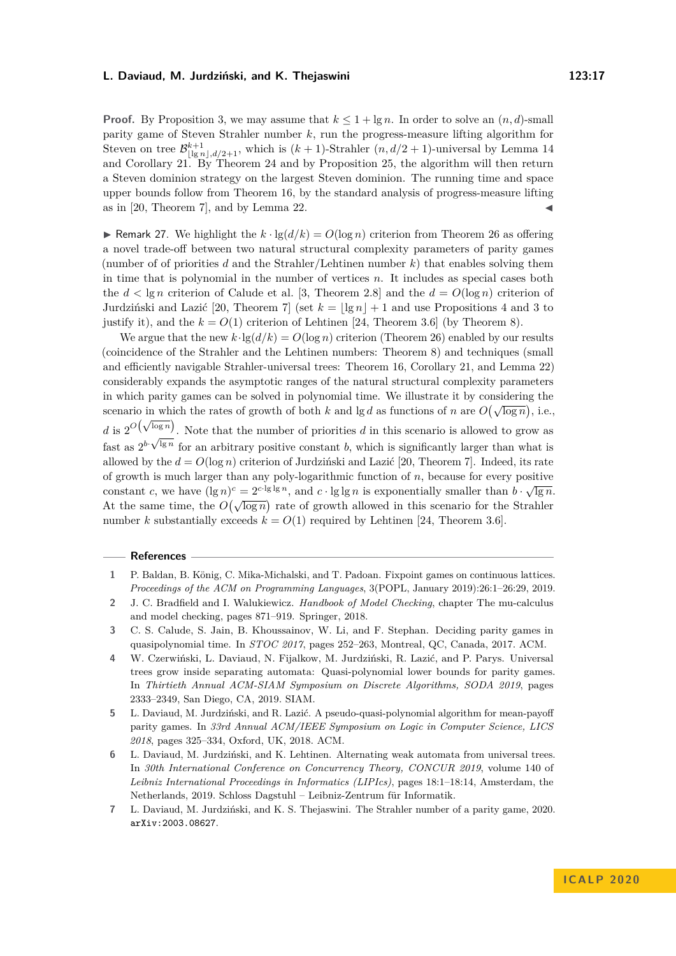**Proof.** By Proposition [3,](#page-4-2) we may assume that  $k \leq 1 + \lg n$ . In order to solve an  $(n, d)$ -small parity game of Steven Strahler number *k*, run the progress-measure lifting algorithm for Steven on tree  $\mathcal{B}^{k+1}_{\lfloor \lg n \rfloor, d/2+1}$ , which is  $(k+1)$ -Strahler  $(n, d/2+1)$ -universal by Lemma [14](#page-11-4) and Corollary [21.](#page-14-1) By Theorem [24](#page-15-3) and by Proposition [25,](#page-15-4) the algorithm will then return a Steven dominion strategy on the largest Steven dominion. The running time and space upper bounds follow from Theorem [16,](#page-12-0) by the standard analysis of progress-measure lifting as in [\[20,](#page-17-11) Theorem 7], and by Lemma [22.](#page-14-2)

**If Remark 27.** We highlight the  $k \cdot \lg(d/k) = O(\log n)$  criterion from Theorem [26](#page-15-0) as offering a novel trade-off between two natural structural complexity parameters of parity games (number of of priorities *d* and the Strahler/Lehtinen number *k*) that enables solving them in time that is polynomial in the number of vertices *n*. It includes as special cases both the  $d < \lg n$  criterion of Calude et al. [\[3,](#page-16-3) Theorem 2.8] and the  $d = O(\log n)$  criterion of Jurdziński and Lazić [\[20,](#page-17-11) Theorem 7] (set  $k = |\lg n| + 1$  and use Propositions [4](#page-4-3) and [3](#page-4-2) to justify it), and the  $k = O(1)$  criterion of Lehtinen [\[24,](#page-17-12) Theorem 3.6] (by Theorem [8\)](#page-8-0).

We argue that the new  $k \cdot \lg(d/k) = O(\log n)$  criterion (Theorem [26\)](#page-15-0) enabled by our results (coincidence of the Strahler and the Lehtinen numbers: Theorem [8\)](#page-8-0) and techniques (small and efficiently navigable Strahler-universal trees: Theorem [16,](#page-12-0) Corollary [21,](#page-14-1) and Lemma [22\)](#page-14-2) considerably expands the asymptotic ranges of the natural structural complexity parameters in which parity games can be solved in polynomial time. We illustrate it by considering the scenario in which the rates of growth of both *k* and lg *d* as functions of *n* are  $O(\sqrt{\log n})$ , i.e.,  $d$  is  $2^{O(\sqrt{\log n})}$ . Note that the number of priorities *d* in this scenario is allowed to grow as fast as  $2^{b} \sqrt{\log n}$  for an arbitrary positive constant *b*, which is significantly larger than what is allowed by the  $d = O(\log n)$  criterion of Jurdziński and Lazić [\[20,](#page-17-11) Theorem 7]. Indeed, its rate of growth is much larger than any poly-logarithmic function of  $n$ , because for every positive constant *c*, we have  $(\lg n)^c = 2^{c \cdot \lg \lg n}$ , and  $c \cdot \lg \lg n$  is exponentially smaller than  $b \cdot \sqrt{\lg n}$ . At the same time, the  $O(\sqrt{\log n})$  rate of growth allowed in this scenario for the Strahler number *k* substantially exceeds  $k = O(1)$  required by Lehtinen [\[24,](#page-17-12) Theorem 3.6].

#### **References**

- <span id="page-16-1"></span>**2** J. C. Bradfield and I. Walukiewicz. *Handbook of Model Checking*, chapter The mu-calculus and model checking, pages 871–919. Springer, 2018.
- <span id="page-16-3"></span>**3** C. S. Calude, S. Jain, B. Khoussainov, W. Li, and F. Stephan. Deciding parity games in quasipolynomial time. In *STOC 2017*, pages 252–263, Montreal, QC, Canada, 2017. ACM.
- <span id="page-16-4"></span>**4** W. Czerwiński, L. Daviaud, N. Fijalkow, M. Jurdziński, R. Lazić, and P. Parys. Universal trees grow inside separating automata: Quasi-polynomial lower bounds for parity games. In *Thirtieth Annual ACM-SIAM Symposium on Discrete Algorithms, SODA 2019*, pages 2333–2349, San Diego, CA, 2019. SIAM.
- <span id="page-16-5"></span>**5** L. Daviaud, M. Jurdziński, and R. Lazić. A pseudo-quasi-polynomial algorithm for mean-payoff parity games. In *33rd Annual ACM/IEEE Symposium on Logic in Computer Science, LICS 2018*, pages 325–334, Oxford, UK, 2018. ACM.
- <span id="page-16-6"></span>**6** L. Daviaud, M. Jurdziński, and K. Lehtinen. Alternating weak automata from universal trees. In *30th International Conference on Concurrency Theory, CONCUR 2019*, volume 140 of *Leibniz International Proceedings in Informatics (LIPIcs)*, pages 18:1–18:14, Amsterdam, the Netherlands, 2019. Schloss Dagstuhl – Leibniz-Zentrum für Informatik.
- <span id="page-16-0"></span>**7** L. Daviaud, M. Jurdziński, and K. S. Thejaswini. The Strahler number of a parity game, 2020. [arXiv:2003.08627](http://arxiv.org/abs/2003.08627).

<span id="page-16-2"></span>**<sup>1</sup>** P. Baldan, B. König, C. Mika-Michalski, and T. Padoan. Fixpoint games on continuous lattices. *Proceedings of the ACM on Programming Languages*, 3(POPL, January 2019):26:1–26:29, 2019.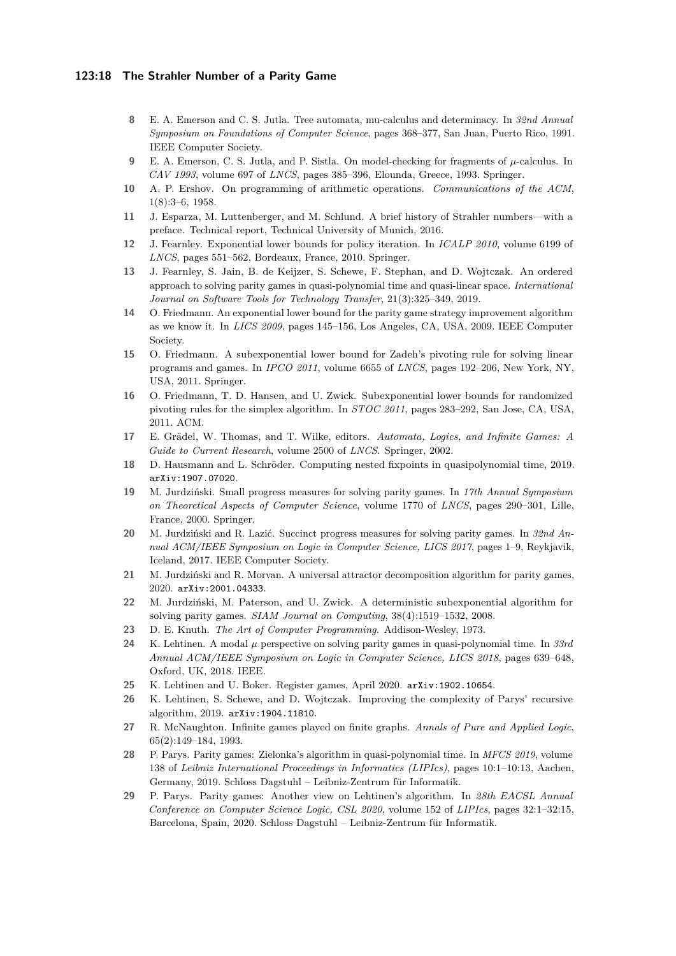#### **123:18 The Strahler Number of a Parity Game**

- <span id="page-17-0"></span>**8** E. A. Emerson and C. S. Jutla. Tree automata, mu-calculus and determinacy. In *32nd Annual Symposium on Foundations of Computer Science*, pages 368–377, San Juan, Puerto Rico, 1991. IEEE Computer Society.
- <span id="page-17-2"></span>**9** E. A. Emerson, C. S. Jutla, and P. Sistla. On model-checking for fragments of *µ*-calculus. In *CAV 1993*, volume 697 of *LNCS*, pages 385–396, Elounda, Greece, 1993. Springer.
- <span id="page-17-8"></span>**10** A. P. Ershov. On programming of arithmetic operations. *Communications of the ACM*, 1(8):3–6, 1958.
- <span id="page-17-10"></span>**11** J. Esparza, M. Luttenberger, and M. Schlund. A brief history of Strahler numbers—with a preface. Technical report, Technical University of Munich, 2016.
- <span id="page-17-5"></span>**12** J. Fearnley. Exponential lower bounds for policy iteration. In *ICALP 2010*, volume 6199 of *LNCS*, pages 551–562, Bordeaux, France, 2010. Springer.
- <span id="page-17-18"></span>**13** J. Fearnley, S. Jain, B. de Keijzer, S. Schewe, F. Stephan, and D. Wojtczak. An ordered approach to solving parity games in quasi-polynomial time and quasi-linear space. *International Journal on Software Tools for Technology Transfer*, 21(3):325–349, 2019.
- <span id="page-17-4"></span>**14** O. Friedmann. An exponential lower bound for the parity game strategy improvement algorithm as we know it. In *LICS 2009*, pages 145–156, Los Angeles, CA, USA, 2009. IEEE Computer Society.
- <span id="page-17-6"></span>**15** O. Friedmann. A subexponential lower bound for Zadeh's pivoting rule for solving linear programs and games. In *IPCO 2011*, volume 6655 of *LNCS*, pages 192–206, New York, NY, USA, 2011. Springer.
- <span id="page-17-7"></span>**16** O. Friedmann, T. D. Hansen, and U. Zwick. Subexponential lower bounds for randomized pivoting rules for the simplex algorithm. In *STOC 2011*, pages 283–292, San Jose, CA, USA, 2011. ACM.
- <span id="page-17-1"></span>**17** E. Grädel, W. Thomas, and T. Wilke, editors. *Automata, Logics, and Infinite Games: A Guide to Current Research*, volume 2500 of *LNCS*. Springer, 2002.
- <span id="page-17-3"></span>**18** D. Hausmann and L. Schröder. Computing nested fixpoints in quasipolynomial time, 2019. [arXiv:1907.07020](http://arxiv.org/abs/1907.07020).
- <span id="page-17-19"></span>**19** M. Jurdziński. Small progress measures for solving parity games. In *17th Annual Symposium on Theoretical Aspects of Computer Science*, volume 1770 of *LNCS*, pages 290–301, Lille, France, 2000. Springer.
- <span id="page-17-11"></span>**20** M. Jurdziński and R. Lazić. Succinct progress measures for solving parity games. In *32nd Annual ACM/IEEE Symposium on Logic in Computer Science, LICS 2017*, pages 1–9, Reykjavik, Iceland, 2017. IEEE Computer Society.
- <span id="page-17-16"></span>**21** M. Jurdziński and R. Morvan. A universal attractor decomposition algorithm for parity games, 2020. [arXiv:2001.04333](http://arxiv.org/abs/2001.04333).
- <span id="page-17-20"></span>**22** M. Jurdziński, M. Paterson, and U. Zwick. A deterministic subexponential algorithm for solving parity games. *SIAM Journal on Computing*, 38(4):1519–1532, 2008.
- <span id="page-17-9"></span>**23** D. E. Knuth. *The Art of Computer Programming*. Addison-Wesley, 1973.
- <span id="page-17-12"></span>**24** K. Lehtinen. A modal *µ* perspective on solving parity games in quasi-polynomial time. In *33rd Annual ACM/IEEE Symposium on Logic in Computer Science, LICS 2018*, pages 639–648, Oxford, UK, 2018. IEEE.
- <span id="page-17-21"></span>**25** K. Lehtinen and U. Boker. Register games, April 2020. [arXiv:1902.10654](http://arxiv.org/abs/1902.10654).
- <span id="page-17-15"></span>**26** K. Lehtinen, S. Schewe, and D. Wojtczak. Improving the complexity of Parys' recursive algorithm, 2019. [arXiv:1904.11810](http://arxiv.org/abs/1904.11810).
- <span id="page-17-13"></span>**27** R. McNaughton. Infinite games played on finite graphs. *Annals of Pure and Applied Logic*, 65(2):149–184, 1993.
- <span id="page-17-14"></span>**28** P. Parys. Parity games: Zielonka's algorithm in quasi-polynomial time. In *MFCS 2019*, volume 138 of *Leibniz International Proceedings in Informatics (LIPIcs)*, pages 10:1–10:13, Aachen, Germany, 2019. Schloss Dagstuhl – Leibniz-Zentrum für Informatik.
- <span id="page-17-17"></span>**29** P. Parys. Parity games: Another view on Lehtinen's algorithm. In *28th EACSL Annual Conference on Computer Science Logic, CSL 2020*, volume 152 of *LIPIcs*, pages 32:1–32:15, Barcelona, Spain, 2020. Schloss Dagstuhl – Leibniz-Zentrum für Informatik.